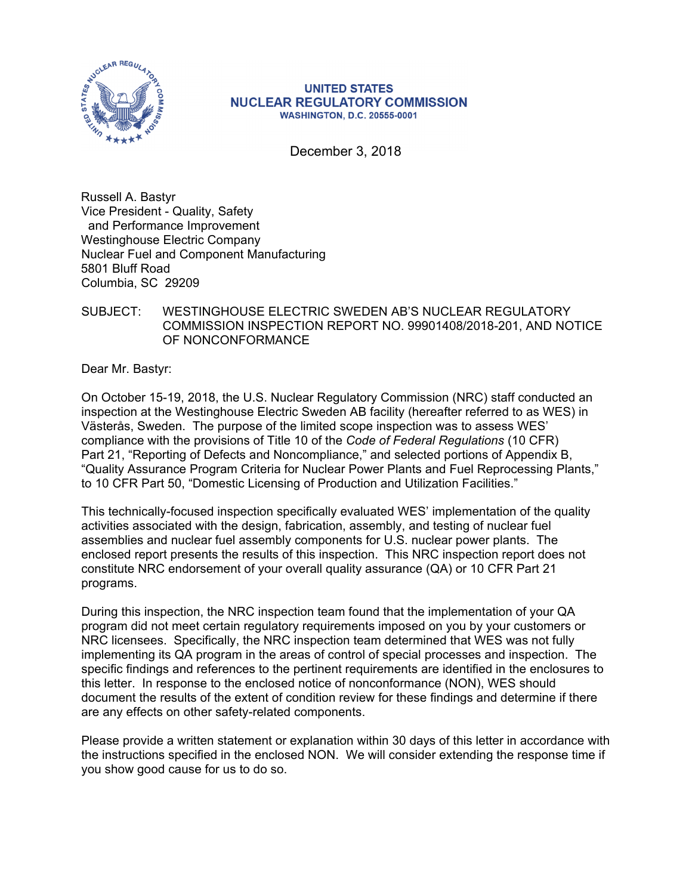

#### **UNITED STATES NUCLEAR REGULATORY COMMISSION WASHINGTON, D.C. 20555-0001**

December 3, 2018

Russell A. Bastyr Vice President - Quality, Safety and Performance Improvement Westinghouse Electric Company Nuclear Fuel and Component Manufacturing 5801 Bluff Road Columbia, SC 29209

# SUBJECT: WESTINGHOUSE ELECTRIC SWEDEN AB'S NUCLEAR REGULATORY COMMISSION INSPECTION REPORT NO. 99901408/2018-201, AND NOTICE OF NONCONFORMANCE

Dear Mr. Bastyr:

On October 15-19, 2018, the U.S. Nuclear Regulatory Commission (NRC) staff conducted an inspection at the Westinghouse Electric Sweden AB facility (hereafter referred to as WES) in Västerås, Sweden. The purpose of the limited scope inspection was to assess WES' compliance with the provisions of Title 10 of the *Code of Federal Regulations* (10 CFR) Part 21, "Reporting of Defects and Noncompliance," and selected portions of Appendix B, "Quality Assurance Program Criteria for Nuclear Power Plants and Fuel Reprocessing Plants," to 10 CFR Part 50, "Domestic Licensing of Production and Utilization Facilities."

This technically-focused inspection specifically evaluated WES' implementation of the quality activities associated with the design, fabrication, assembly, and testing of nuclear fuel assemblies and nuclear fuel assembly components for U.S. nuclear power plants. The enclosed report presents the results of this inspection. This NRC inspection report does not constitute NRC endorsement of your overall quality assurance (QA) or 10 CFR Part 21 programs.

During this inspection, the NRC inspection team found that the implementation of your QA program did not meet certain regulatory requirements imposed on you by your customers or NRC licensees. Specifically, the NRC inspection team determined that WES was not fully implementing its QA program in the areas of control of special processes and inspection. The specific findings and references to the pertinent requirements are identified in the enclosures to this letter. In response to the enclosed notice of nonconformance (NON), WES should document the results of the extent of condition review for these findings and determine if there are any effects on other safety-related components.

Please provide a written statement or explanation within 30 days of this letter in accordance with the instructions specified in the enclosed NON. We will consider extending the response time if you show good cause for us to do so.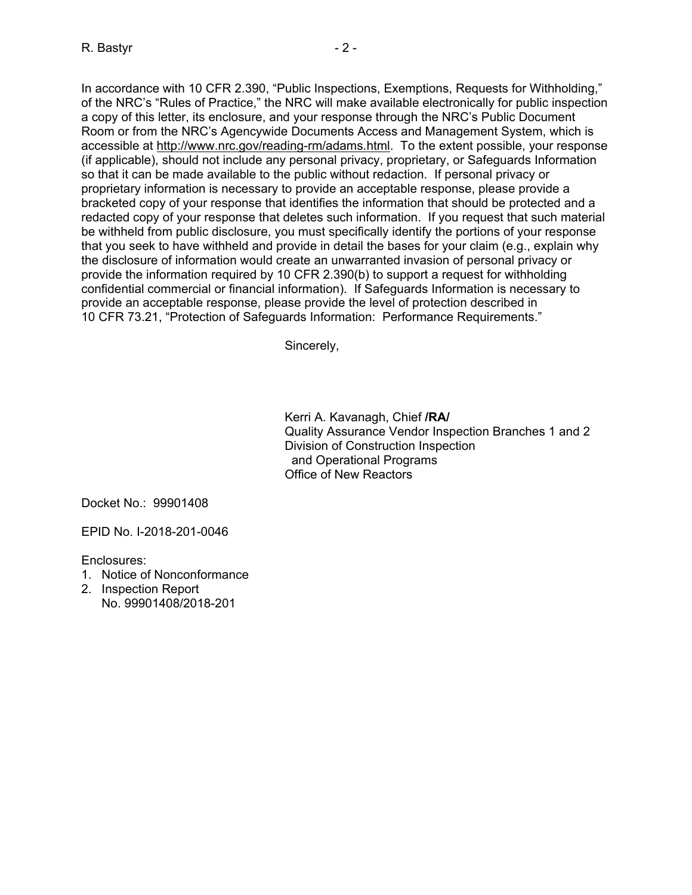In accordance with 10 CFR 2.390, "Public Inspections, Exemptions, Requests for Withholding," of the NRC's "Rules of Practice," the NRC will make available electronically for public inspection a copy of this letter, its enclosure, and your response through the NRC's Public Document Room or from the NRC's Agencywide Documents Access and Management System, which is accessible at http://www.nrc.gov/reading-rm/adams.html. To the extent possible, your response (if applicable), should not include any personal privacy, proprietary, or Safeguards Information so that it can be made available to the public without redaction. If personal privacy or proprietary information is necessary to provide an acceptable response, please provide a bracketed copy of your response that identifies the information that should be protected and a redacted copy of your response that deletes such information. If you request that such material be withheld from public disclosure, you must specifically identify the portions of your response that you seek to have withheld and provide in detail the bases for your claim (e.g., explain why the disclosure of information would create an unwarranted invasion of personal privacy or provide the information required by 10 CFR 2.390(b) to support a request for withholding confidential commercial or financial information). If Safeguards Information is necessary to provide an acceptable response, please provide the level of protection described in 10 CFR 73.21, "Protection of Safeguards Information: Performance Requirements."

Sincerely,

Kerri A. Kavanagh, Chief **/RA/**  Quality Assurance Vendor Inspection Branches 1 and 2 Division of Construction Inspection and Operational Programs Office of New Reactors

Docket No.: 99901408

EPID No. I-2018-201-0046

Enclosures:

- 1. Notice of Nonconformance
- 2. Inspection Report No. 99901408/2018-201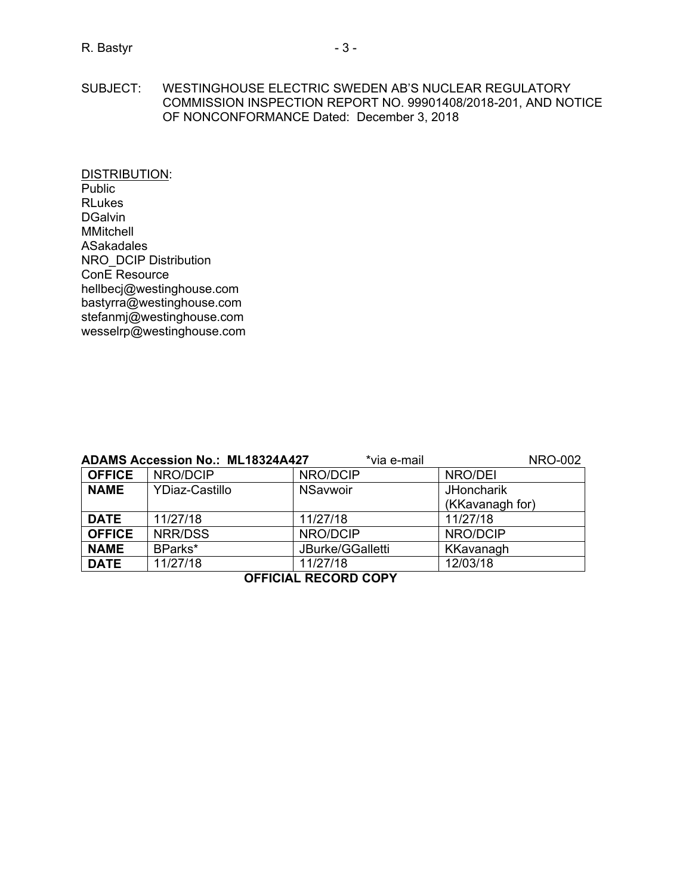#### SUBJECT: WESTINGHOUSE ELECTRIC SWEDEN AB'S NUCLEAR REGULATORY COMMISSION INSPECTION REPORT NO. 99901408/2018-201, AND NOTICE OF NONCONFORMANCE Dated: December 3, 2018

DISTRIBUTION: Public RLukes DGalvin MMitchell ASakadales NRO\_DCIP Distribution ConE Resource hellbecj@westinghouse.com bastyrra@westinghouse.com stefanmj@westinghouse.com wesselrp@westinghouse.com

| <b>ADAMS Accession No.: ML18324A427</b><br>*via e-mail<br><b>NRO-002</b> |                       |                  |                   |  |  |  |
|--------------------------------------------------------------------------|-----------------------|------------------|-------------------|--|--|--|
| <b>OFFICE</b>                                                            | NRO/DCIP              | NRO/DCIP         | NRO/DEI           |  |  |  |
| <b>NAME</b>                                                              | <b>YDiaz-Castillo</b> | <b>NSavwoir</b>  | <b>JHoncharik</b> |  |  |  |
|                                                                          |                       |                  | (KKavanagh for)   |  |  |  |
| <b>DATE</b>                                                              | 11/27/18              | 11/27/18         | 11/27/18          |  |  |  |
| <b>OFFICE</b>                                                            | NRR/DSS               | NRO/DCIP         | NRO/DCIP          |  |  |  |
| <b>NAME</b>                                                              | BParks*               | JBurke/GGalletti | KKavanagh         |  |  |  |
| <b>DATE</b>                                                              | 11/27/18              | 11/27/18         | 12/03/18          |  |  |  |
| <b>OFFICIAL RECORD COPY</b>                                              |                       |                  |                   |  |  |  |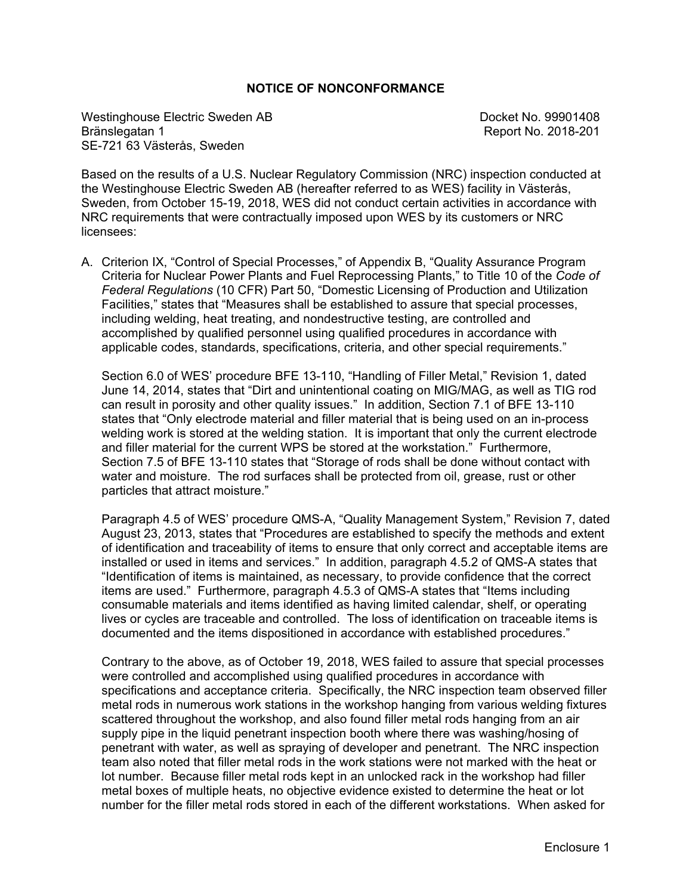## **NOTICE OF NONCONFORMANCE**

Westinghouse Electric Sweden AB Docket No. 99901408<br>Bränslegatan 1 Docket No. 2018-201 SE-721 63 Västerås, Sweden

Report No. 2018-201

Based on the results of a U.S. Nuclear Regulatory Commission (NRC) inspection conducted at the Westinghouse Electric Sweden AB (hereafter referred to as WES) facility in Västerås, Sweden, from October 15-19, 2018, WES did not conduct certain activities in accordance with NRC requirements that were contractually imposed upon WES by its customers or NRC licensees:

A. Criterion IX, "Control of Special Processes," of Appendix B, "Quality Assurance Program Criteria for Nuclear Power Plants and Fuel Reprocessing Plants," to Title 10 of the *Code of Federal Regulations* (10 CFR) Part 50, "Domestic Licensing of Production and Utilization Facilities," states that "Measures shall be established to assure that special processes, including welding, heat treating, and nondestructive testing, are controlled and accomplished by qualified personnel using qualified procedures in accordance with applicable codes, standards, specifications, criteria, and other special requirements."

Section 6.0 of WES' procedure BFE 13-110, "Handling of Filler Metal," Revision 1, dated June 14, 2014, states that "Dirt and unintentional coating on MIG/MAG, as well as TIG rod can result in porosity and other quality issues." In addition, Section 7.1 of BFE 13-110 states that "Only electrode material and filler material that is being used on an in-process welding work is stored at the welding station. It is important that only the current electrode and filler material for the current WPS be stored at the workstation." Furthermore, Section 7.5 of BFE 13-110 states that "Storage of rods shall be done without contact with water and moisture. The rod surfaces shall be protected from oil, grease, rust or other particles that attract moisture."

Paragraph 4.5 of WES' procedure QMS-A, "Quality Management System," Revision 7, dated August 23, 2013, states that "Procedures are established to specify the methods and extent of identification and traceability of items to ensure that only correct and acceptable items are installed or used in items and services." In addition, paragraph 4.5.2 of QMS-A states that "Identification of items is maintained, as necessary, to provide confidence that the correct items are used." Furthermore, paragraph 4.5.3 of QMS-A states that "Items including consumable materials and items identified as having limited calendar, shelf, or operating lives or cycles are traceable and controlled. The loss of identification on traceable items is documented and the items dispositioned in accordance with established procedures."

Contrary to the above, as of October 19, 2018, WES failed to assure that special processes were controlled and accomplished using qualified procedures in accordance with specifications and acceptance criteria. Specifically, the NRC inspection team observed filler metal rods in numerous work stations in the workshop hanging from various welding fixtures scattered throughout the workshop, and also found filler metal rods hanging from an air supply pipe in the liquid penetrant inspection booth where there was washing/hosing of penetrant with water, as well as spraying of developer and penetrant. The NRC inspection team also noted that filler metal rods in the work stations were not marked with the heat or lot number. Because filler metal rods kept in an unlocked rack in the workshop had filler metal boxes of multiple heats, no objective evidence existed to determine the heat or lot number for the filler metal rods stored in each of the different workstations. When asked for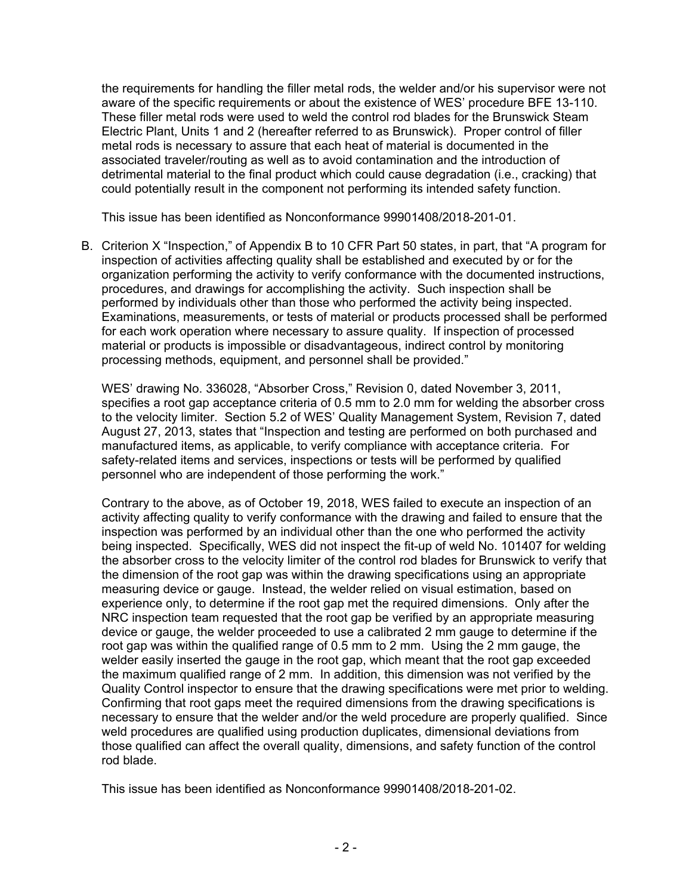the requirements for handling the filler metal rods, the welder and/or his supervisor were not aware of the specific requirements or about the existence of WES' procedure BFE 13-110. These filler metal rods were used to weld the control rod blades for the Brunswick Steam Electric Plant, Units 1 and 2 (hereafter referred to as Brunswick). Proper control of filler metal rods is necessary to assure that each heat of material is documented in the associated traveler/routing as well as to avoid contamination and the introduction of detrimental material to the final product which could cause degradation (i.e., cracking) that could potentially result in the component not performing its intended safety function.

This issue has been identified as Nonconformance 99901408/2018-201-01.

B. Criterion X "Inspection," of Appendix B to 10 CFR Part 50 states, in part, that "A program for inspection of activities affecting quality shall be established and executed by or for the organization performing the activity to verify conformance with the documented instructions, procedures, and drawings for accomplishing the activity. Such inspection shall be performed by individuals other than those who performed the activity being inspected. Examinations, measurements, or tests of material or products processed shall be performed for each work operation where necessary to assure quality. If inspection of processed material or products is impossible or disadvantageous, indirect control by monitoring processing methods, equipment, and personnel shall be provided."

WES' drawing No. 336028, "Absorber Cross," Revision 0, dated November 3, 2011, specifies a root gap acceptance criteria of 0.5 mm to 2.0 mm for welding the absorber cross to the velocity limiter. Section 5.2 of WES' Quality Management System, Revision 7, dated August 27, 2013, states that "Inspection and testing are performed on both purchased and manufactured items, as applicable, to verify compliance with acceptance criteria. For safety-related items and services, inspections or tests will be performed by qualified personnel who are independent of those performing the work."

Contrary to the above, as of October 19, 2018, WES failed to execute an inspection of an activity affecting quality to verify conformance with the drawing and failed to ensure that the inspection was performed by an individual other than the one who performed the activity being inspected. Specifically, WES did not inspect the fit-up of weld No. 101407 for welding the absorber cross to the velocity limiter of the control rod blades for Brunswick to verify that the dimension of the root gap was within the drawing specifications using an appropriate measuring device or gauge. Instead, the welder relied on visual estimation, based on experience only, to determine if the root gap met the required dimensions. Only after the NRC inspection team requested that the root gap be verified by an appropriate measuring device or gauge, the welder proceeded to use a calibrated 2 mm gauge to determine if the root gap was within the qualified range of 0.5 mm to 2 mm. Using the 2 mm gauge, the welder easily inserted the gauge in the root gap, which meant that the root gap exceeded the maximum qualified range of 2 mm. In addition, this dimension was not verified by the Quality Control inspector to ensure that the drawing specifications were met prior to welding. Confirming that root gaps meet the required dimensions from the drawing specifications is necessary to ensure that the welder and/or the weld procedure are properly qualified. Since weld procedures are qualified using production duplicates, dimensional deviations from those qualified can affect the overall quality, dimensions, and safety function of the control rod blade.

This issue has been identified as Nonconformance 99901408/2018-201-02.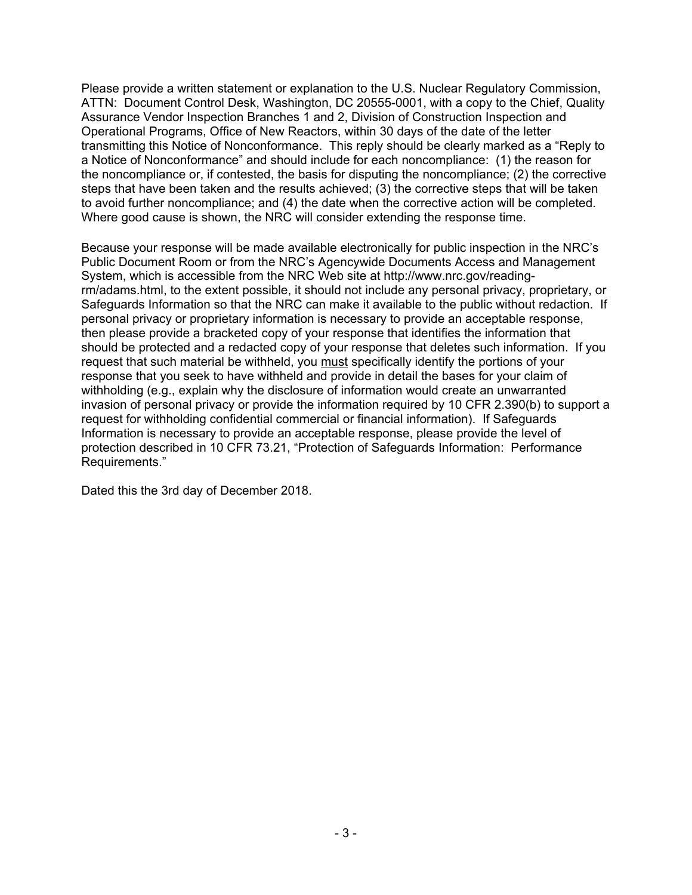Please provide a written statement or explanation to the U.S. Nuclear Regulatory Commission, ATTN: Document Control Desk, Washington, DC 20555-0001, with a copy to the Chief, Quality Assurance Vendor Inspection Branches 1 and 2, Division of Construction Inspection and Operational Programs, Office of New Reactors, within 30 days of the date of the letter transmitting this Notice of Nonconformance. This reply should be clearly marked as a "Reply to a Notice of Nonconformance" and should include for each noncompliance: (1) the reason for the noncompliance or, if contested, the basis for disputing the noncompliance; (2) the corrective steps that have been taken and the results achieved; (3) the corrective steps that will be taken to avoid further noncompliance; and (4) the date when the corrective action will be completed. Where good cause is shown, the NRC will consider extending the response time.

Because your response will be made available electronically for public inspection in the NRC's Public Document Room or from the NRC's Agencywide Documents Access and Management System, which is accessible from the NRC Web site at http://www.nrc.gov/readingrm/adams.html, to the extent possible, it should not include any personal privacy, proprietary, or Safeguards Information so that the NRC can make it available to the public without redaction. If personal privacy or proprietary information is necessary to provide an acceptable response, then please provide a bracketed copy of your response that identifies the information that should be protected and a redacted copy of your response that deletes such information. If you request that such material be withheld, you must specifically identify the portions of your response that you seek to have withheld and provide in detail the bases for your claim of withholding (e.g., explain why the disclosure of information would create an unwarranted invasion of personal privacy or provide the information required by 10 CFR 2.390(b) to support a request for withholding confidential commercial or financial information). If Safeguards Information is necessary to provide an acceptable response, please provide the level of protection described in 10 CFR 73.21, "Protection of Safeguards Information: Performance Requirements."

Dated this the 3rd day of December 2018.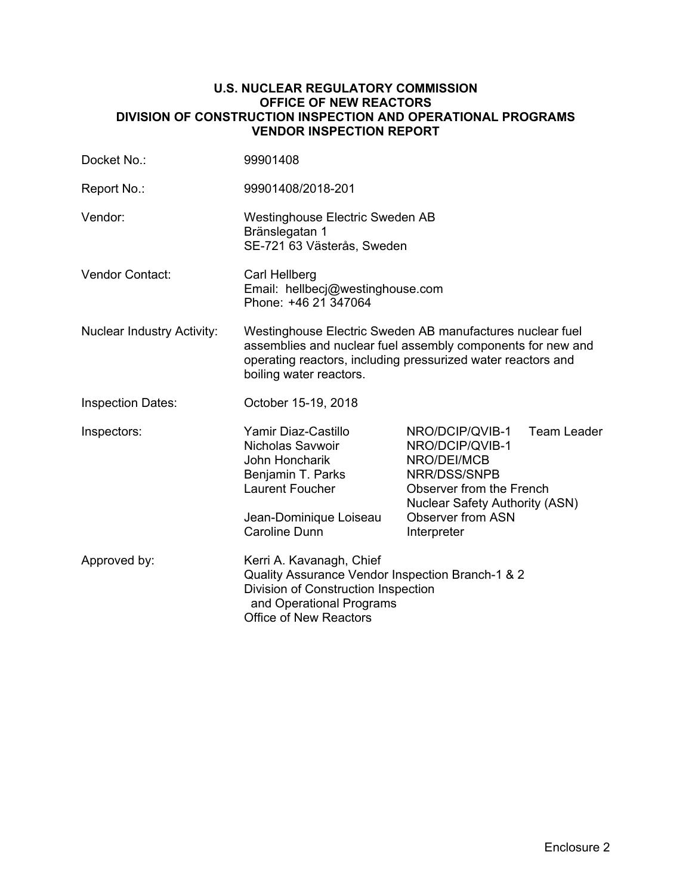#### **U.S. NUCLEAR REGULATORY COMMISSION OFFICE OF NEW REACTORS DIVISION OF CONSTRUCTION INSPECTION AND OPERATIONAL PROGRAMS VENDOR INSPECTION REPORT**

| Docket No.:                       | 99901408                                                                                                                                                                                                            |                                                                                                                                                                                   |                    |  |  |
|-----------------------------------|---------------------------------------------------------------------------------------------------------------------------------------------------------------------------------------------------------------------|-----------------------------------------------------------------------------------------------------------------------------------------------------------------------------------|--------------------|--|--|
| Report No.:                       | 99901408/2018-201                                                                                                                                                                                                   |                                                                                                                                                                                   |                    |  |  |
| Vendor:                           | Westinghouse Electric Sweden AB<br>Bränslegatan 1<br>SE-721 63 Västerås, Sweden                                                                                                                                     |                                                                                                                                                                                   |                    |  |  |
| <b>Vendor Contact:</b>            | Carl Hellberg<br>Email: hellbecj@westinghouse.com<br>Phone: +46 21 347064                                                                                                                                           |                                                                                                                                                                                   |                    |  |  |
| <b>Nuclear Industry Activity:</b> | Westinghouse Electric Sweden AB manufactures nuclear fuel<br>assemblies and nuclear fuel assembly components for new and<br>operating reactors, including pressurized water reactors and<br>boiling water reactors. |                                                                                                                                                                                   |                    |  |  |
| <b>Inspection Dates:</b>          | October 15-19, 2018                                                                                                                                                                                                 |                                                                                                                                                                                   |                    |  |  |
| Inspectors:                       | Yamir Diaz-Castillo<br>Nicholas Savwoir<br>John Honcharik<br>Benjamin T. Parks<br><b>Laurent Foucher</b><br>Jean-Dominique Loiseau<br><b>Caroline Dunn</b>                                                          | NRO/DCIP/QVIB-1<br>NRO/DCIP/QVIB-1<br>NRO/DEI/MCB<br>NRR/DSS/SNPB<br>Observer from the French<br><b>Nuclear Safety Authority (ASN)</b><br><b>Observer from ASN</b><br>Interpreter | <b>Team Leader</b> |  |  |
| Approved by:                      | Kerri A. Kavanagh, Chief<br>Quality Assurance Vendor Inspection Branch-1 & 2<br>Division of Construction Inspection<br>and Operational Programs<br><b>Office of New Reactors</b>                                    |                                                                                                                                                                                   |                    |  |  |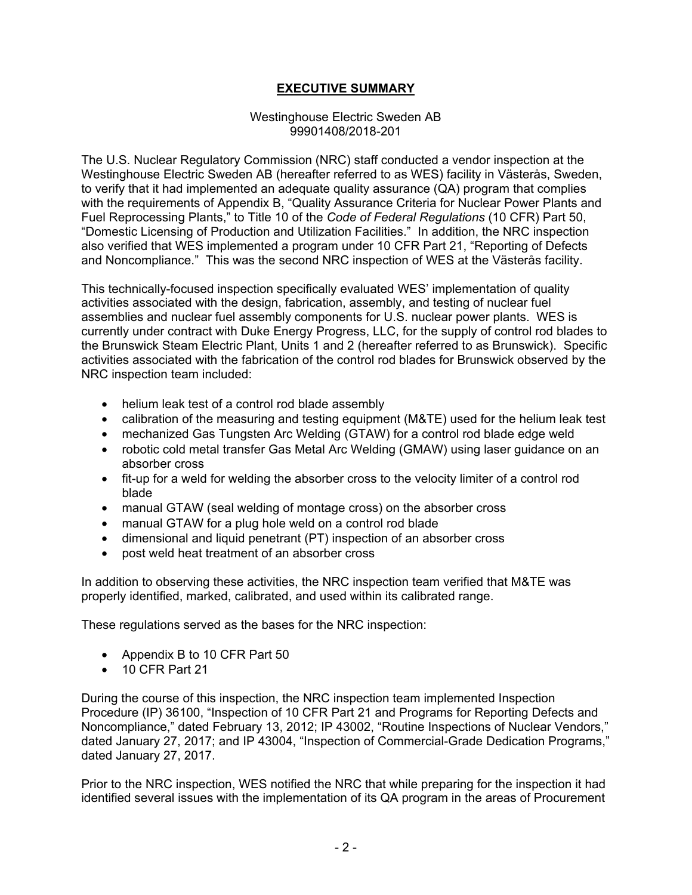# **EXECUTIVE SUMMARY**

#### Westinghouse Electric Sweden AB 99901408/2018-201

The U.S. Nuclear Regulatory Commission (NRC) staff conducted a vendor inspection at the Westinghouse Electric Sweden AB (hereafter referred to as WES) facility in Västerås, Sweden, to verify that it had implemented an adequate quality assurance (QA) program that complies with the requirements of Appendix B, "Quality Assurance Criteria for Nuclear Power Plants and Fuel Reprocessing Plants," to Title 10 of the *Code of Federal Regulations* (10 CFR) Part 50, "Domestic Licensing of Production and Utilization Facilities." In addition, the NRC inspection also verified that WES implemented a program under 10 CFR Part 21, "Reporting of Defects and Noncompliance." This was the second NRC inspection of WES at the Västerås facility.

This technically-focused inspection specifically evaluated WES' implementation of quality activities associated with the design, fabrication, assembly, and testing of nuclear fuel assemblies and nuclear fuel assembly components for U.S. nuclear power plants. WES is currently under contract with Duke Energy Progress, LLC, for the supply of control rod blades to the Brunswick Steam Electric Plant, Units 1 and 2 (hereafter referred to as Brunswick). Specific activities associated with the fabrication of the control rod blades for Brunswick observed by the NRC inspection team included:

- helium leak test of a control rod blade assembly
- calibration of the measuring and testing equipment (M&TE) used for the helium leak test
- mechanized Gas Tungsten Arc Welding (GTAW) for a control rod blade edge weld
- robotic cold metal transfer Gas Metal Arc Welding (GMAW) using laser guidance on an absorber cross
- fit-up for a weld for welding the absorber cross to the velocity limiter of a control rod blade
- manual GTAW (seal welding of montage cross) on the absorber cross
- manual GTAW for a plug hole weld on a control rod blade
- dimensional and liquid penetrant (PT) inspection of an absorber cross
- post weld heat treatment of an absorber cross

In addition to observing these activities, the NRC inspection team verified that M&TE was properly identified, marked, calibrated, and used within its calibrated range.

These regulations served as the bases for the NRC inspection:

- Appendix B to 10 CFR Part 50
- 10 CFR Part 21

During the course of this inspection, the NRC inspection team implemented Inspection Procedure (IP) 36100, "Inspection of 10 CFR Part 21 and Programs for Reporting Defects and Noncompliance," dated February 13, 2012; IP 43002, "Routine Inspections of Nuclear Vendors," dated January 27, 2017; and IP 43004, "Inspection of Commercial-Grade Dedication Programs," dated January 27, 2017.

Prior to the NRC inspection, WES notified the NRC that while preparing for the inspection it had identified several issues with the implementation of its QA program in the areas of Procurement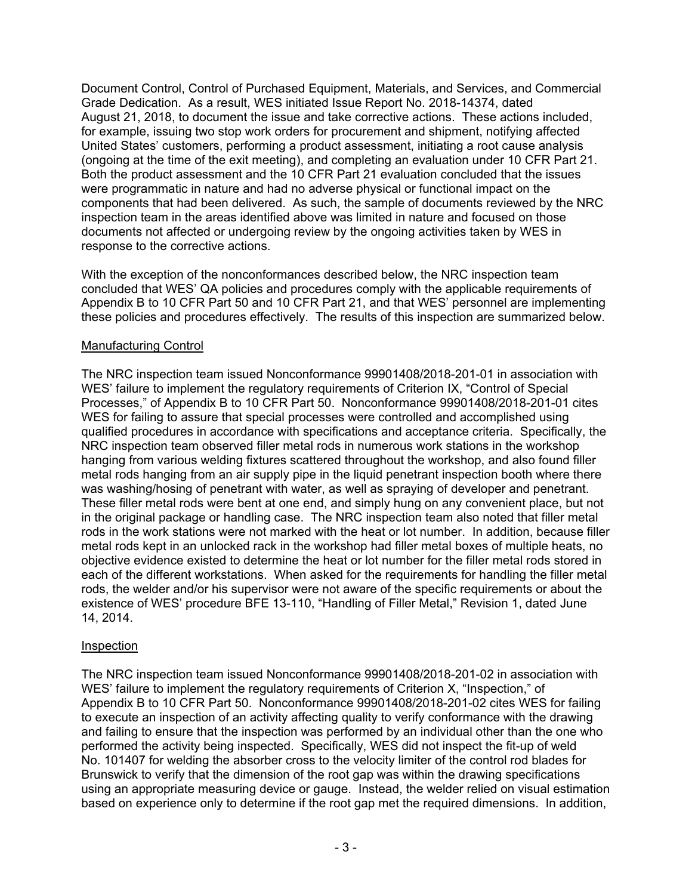Document Control, Control of Purchased Equipment, Materials, and Services, and Commercial Grade Dedication. As a result, WES initiated Issue Report No. 2018-14374, dated August 21, 2018, to document the issue and take corrective actions. These actions included, for example, issuing two stop work orders for procurement and shipment, notifying affected United States' customers, performing a product assessment, initiating a root cause analysis (ongoing at the time of the exit meeting), and completing an evaluation under 10 CFR Part 21. Both the product assessment and the 10 CFR Part 21 evaluation concluded that the issues were programmatic in nature and had no adverse physical or functional impact on the components that had been delivered. As such, the sample of documents reviewed by the NRC inspection team in the areas identified above was limited in nature and focused on those documents not affected or undergoing review by the ongoing activities taken by WES in response to the corrective actions.

With the exception of the nonconformances described below, the NRC inspection team concluded that WES' QA policies and procedures comply with the applicable requirements of Appendix B to 10 CFR Part 50 and 10 CFR Part 21, and that WES' personnel are implementing these policies and procedures effectively. The results of this inspection are summarized below.

# Manufacturing Control

The NRC inspection team issued Nonconformance 99901408/2018-201-01 in association with WES' failure to implement the regulatory requirements of Criterion IX, "Control of Special Processes," of Appendix B to 10 CFR Part 50. Nonconformance 99901408/2018-201-01 cites WES for failing to assure that special processes were controlled and accomplished using qualified procedures in accordance with specifications and acceptance criteria. Specifically, the NRC inspection team observed filler metal rods in numerous work stations in the workshop hanging from various welding fixtures scattered throughout the workshop, and also found filler metal rods hanging from an air supply pipe in the liquid penetrant inspection booth where there was washing/hosing of penetrant with water, as well as spraying of developer and penetrant. These filler metal rods were bent at one end, and simply hung on any convenient place, but not in the original package or handling case. The NRC inspection team also noted that filler metal rods in the work stations were not marked with the heat or lot number. In addition, because filler metal rods kept in an unlocked rack in the workshop had filler metal boxes of multiple heats, no objective evidence existed to determine the heat or lot number for the filler metal rods stored in each of the different workstations. When asked for the requirements for handling the filler metal rods, the welder and/or his supervisor were not aware of the specific requirements or about the existence of WES' procedure BFE 13-110, "Handling of Filler Metal," Revision 1, dated June 14, 2014.

# Inspection

The NRC inspection team issued Nonconformance 99901408/2018-201-02 in association with WES' failure to implement the regulatory requirements of Criterion X, "Inspection," of Appendix B to 10 CFR Part 50. Nonconformance 99901408/2018-201-02 cites WES for failing to execute an inspection of an activity affecting quality to verify conformance with the drawing and failing to ensure that the inspection was performed by an individual other than the one who performed the activity being inspected. Specifically, WES did not inspect the fit-up of weld No. 101407 for welding the absorber cross to the velocity limiter of the control rod blades for Brunswick to verify that the dimension of the root gap was within the drawing specifications using an appropriate measuring device or gauge. Instead, the welder relied on visual estimation based on experience only to determine if the root gap met the required dimensions. In addition,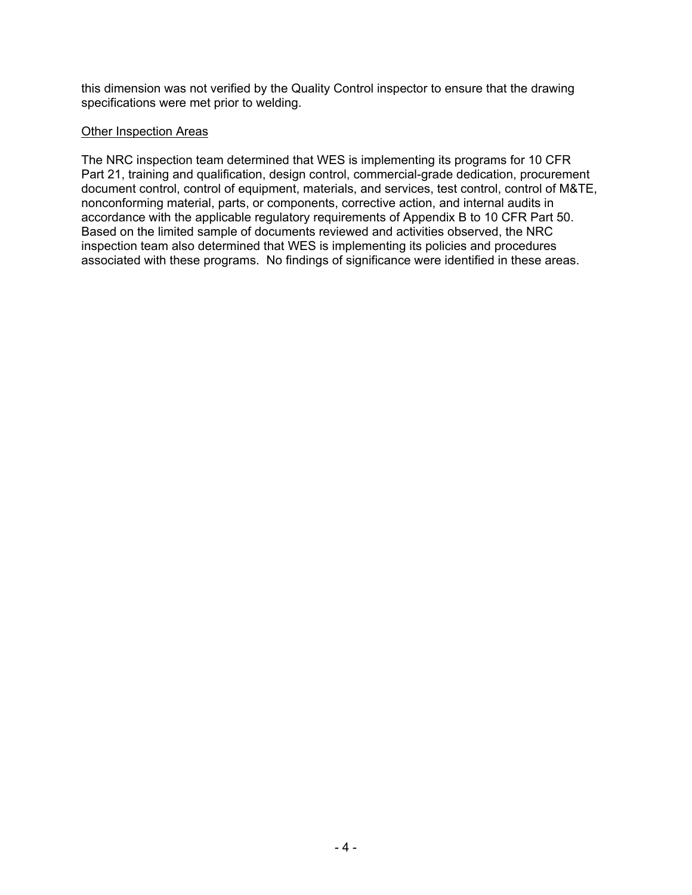this dimension was not verified by the Quality Control inspector to ensure that the drawing specifications were met prior to welding.

## Other Inspection Areas

The NRC inspection team determined that WES is implementing its programs for 10 CFR Part 21, training and qualification, design control, commercial-grade dedication, procurement document control, control of equipment, materials, and services, test control, control of M&TE, nonconforming material, parts, or components, corrective action, and internal audits in accordance with the applicable regulatory requirements of Appendix B to 10 CFR Part 50. Based on the limited sample of documents reviewed and activities observed, the NRC inspection team also determined that WES is implementing its policies and procedures associated with these programs. No findings of significance were identified in these areas.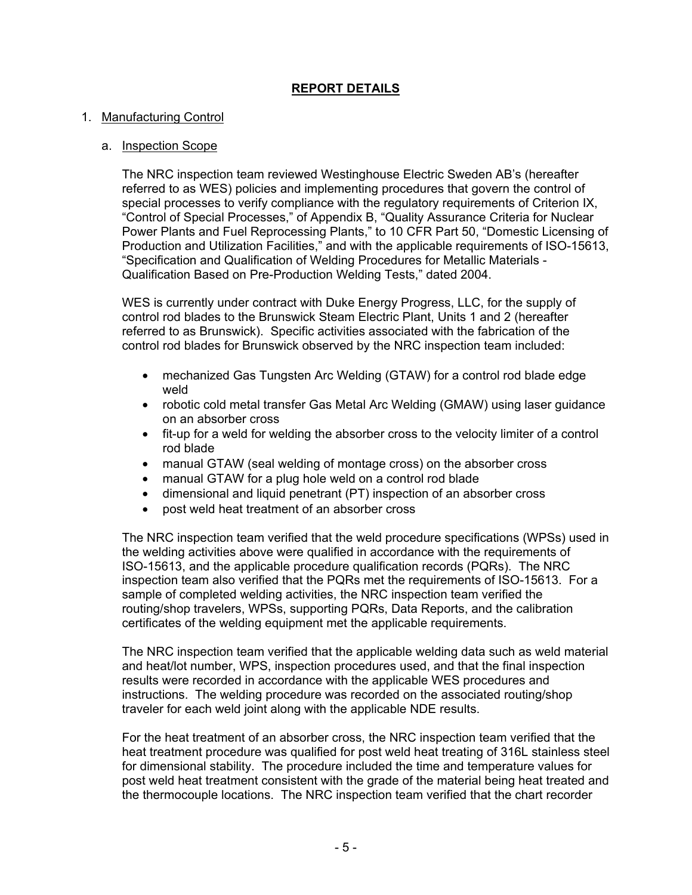# **REPORT DETAILS**

#### 1. Manufacturing Control

#### a. Inspection Scope

The NRC inspection team reviewed Westinghouse Electric Sweden AB's (hereafter referred to as WES) policies and implementing procedures that govern the control of special processes to verify compliance with the regulatory requirements of Criterion IX, "Control of Special Processes," of Appendix B, "Quality Assurance Criteria for Nuclear Power Plants and Fuel Reprocessing Plants," to 10 CFR Part 50, "Domestic Licensing of Production and Utilization Facilities," and with the applicable requirements of ISO-15613, "Specification and Qualification of Welding Procedures for Metallic Materials - Qualification Based on Pre-Production Welding Tests," dated 2004.

WES is currently under contract with Duke Energy Progress, LLC, for the supply of control rod blades to the Brunswick Steam Electric Plant, Units 1 and 2 (hereafter referred to as Brunswick). Specific activities associated with the fabrication of the control rod blades for Brunswick observed by the NRC inspection team included:

- mechanized Gas Tungsten Arc Welding (GTAW) for a control rod blade edge weld
- robotic cold metal transfer Gas Metal Arc Welding (GMAW) using laser guidance on an absorber cross
- fit-up for a weld for welding the absorber cross to the velocity limiter of a control rod blade
- manual GTAW (seal welding of montage cross) on the absorber cross
- manual GTAW for a plug hole weld on a control rod blade
- dimensional and liquid penetrant (PT) inspection of an absorber cross
- post weld heat treatment of an absorber cross

The NRC inspection team verified that the weld procedure specifications (WPSs) used in the welding activities above were qualified in accordance with the requirements of ISO-15613, and the applicable procedure qualification records (PQRs). The NRC inspection team also verified that the PQRs met the requirements of ISO-15613. For a sample of completed welding activities, the NRC inspection team verified the routing/shop travelers, WPSs, supporting PQRs, Data Reports, and the calibration certificates of the welding equipment met the applicable requirements.

The NRC inspection team verified that the applicable welding data such as weld material and heat/lot number, WPS, inspection procedures used, and that the final inspection results were recorded in accordance with the applicable WES procedures and instructions. The welding procedure was recorded on the associated routing/shop traveler for each weld joint along with the applicable NDE results.

For the heat treatment of an absorber cross, the NRC inspection team verified that the heat treatment procedure was qualified for post weld heat treating of 316L stainless steel for dimensional stability. The procedure included the time and temperature values for post weld heat treatment consistent with the grade of the material being heat treated and the thermocouple locations. The NRC inspection team verified that the chart recorder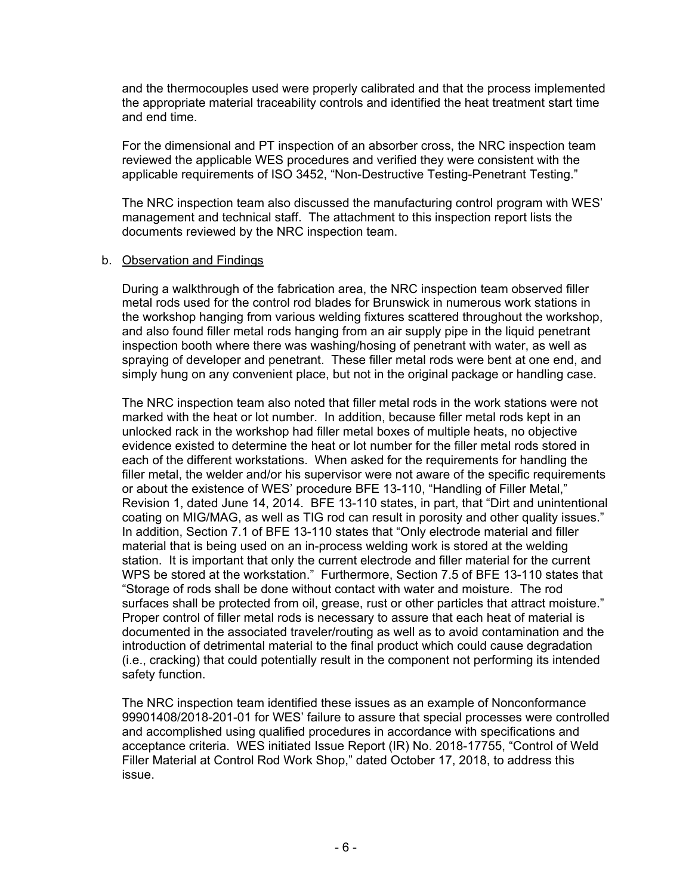and the thermocouples used were properly calibrated and that the process implemented the appropriate material traceability controls and identified the heat treatment start time and end time.

For the dimensional and PT inspection of an absorber cross, the NRC inspection team reviewed the applicable WES procedures and verified they were consistent with the applicable requirements of ISO 3452, "Non-Destructive Testing-Penetrant Testing."

The NRC inspection team also discussed the manufacturing control program with WES' management and technical staff. The attachment to this inspection report lists the documents reviewed by the NRC inspection team.

#### b. Observation and Findings

During a walkthrough of the fabrication area, the NRC inspection team observed filler metal rods used for the control rod blades for Brunswick in numerous work stations in the workshop hanging from various welding fixtures scattered throughout the workshop, and also found filler metal rods hanging from an air supply pipe in the liquid penetrant inspection booth where there was washing/hosing of penetrant with water, as well as spraying of developer and penetrant. These filler metal rods were bent at one end, and simply hung on any convenient place, but not in the original package or handling case.

The NRC inspection team also noted that filler metal rods in the work stations were not marked with the heat or lot number. In addition, because filler metal rods kept in an unlocked rack in the workshop had filler metal boxes of multiple heats, no objective evidence existed to determine the heat or lot number for the filler metal rods stored in each of the different workstations. When asked for the requirements for handling the filler metal, the welder and/or his supervisor were not aware of the specific requirements or about the existence of WES' procedure BFE 13-110, "Handling of Filler Metal," Revision 1, dated June 14, 2014. BFE 13-110 states, in part, that "Dirt and unintentional coating on MIG/MAG, as well as TIG rod can result in porosity and other quality issues." In addition, Section 7.1 of BFE 13-110 states that "Only electrode material and filler material that is being used on an in-process welding work is stored at the welding station. It is important that only the current electrode and filler material for the current WPS be stored at the workstation." Furthermore, Section 7.5 of BFE 13-110 states that "Storage of rods shall be done without contact with water and moisture. The rod surfaces shall be protected from oil, grease, rust or other particles that attract moisture." Proper control of filler metal rods is necessary to assure that each heat of material is documented in the associated traveler/routing as well as to avoid contamination and the introduction of detrimental material to the final product which could cause degradation (i.e., cracking) that could potentially result in the component not performing its intended safety function.

The NRC inspection team identified these issues as an example of Nonconformance 99901408/2018-201-01 for WES' failure to assure that special processes were controlled and accomplished using qualified procedures in accordance with specifications and acceptance criteria. WES initiated Issue Report (IR) No. 2018-17755, "Control of Weld Filler Material at Control Rod Work Shop," dated October 17, 2018, to address this issue.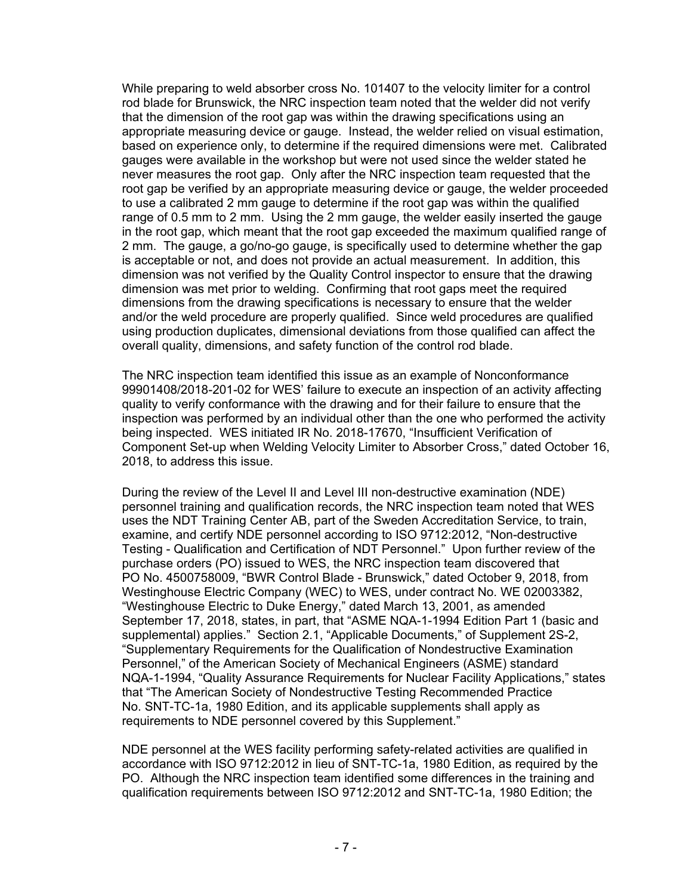While preparing to weld absorber cross No. 101407 to the velocity limiter for a control rod blade for Brunswick, the NRC inspection team noted that the welder did not verify that the dimension of the root gap was within the drawing specifications using an appropriate measuring device or gauge. Instead, the welder relied on visual estimation, based on experience only, to determine if the required dimensions were met. Calibrated gauges were available in the workshop but were not used since the welder stated he never measures the root gap. Only after the NRC inspection team requested that the root gap be verified by an appropriate measuring device or gauge, the welder proceeded to use a calibrated 2 mm gauge to determine if the root gap was within the qualified range of 0.5 mm to 2 mm. Using the 2 mm gauge, the welder easily inserted the gauge in the root gap, which meant that the root gap exceeded the maximum qualified range of 2 mm. The gauge, a go/no-go gauge, is specifically used to determine whether the gap is acceptable or not, and does not provide an actual measurement. In addition, this dimension was not verified by the Quality Control inspector to ensure that the drawing dimension was met prior to welding. Confirming that root gaps meet the required dimensions from the drawing specifications is necessary to ensure that the welder and/or the weld procedure are properly qualified. Since weld procedures are qualified using production duplicates, dimensional deviations from those qualified can affect the overall quality, dimensions, and safety function of the control rod blade.

The NRC inspection team identified this issue as an example of Nonconformance 99901408/2018-201-02 for WES' failure to execute an inspection of an activity affecting quality to verify conformance with the drawing and for their failure to ensure that the inspection was performed by an individual other than the one who performed the activity being inspected. WES initiated IR No. 2018-17670, "Insufficient Verification of Component Set-up when Welding Velocity Limiter to Absorber Cross," dated October 16, 2018, to address this issue.

During the review of the Level II and Level III non-destructive examination (NDE) personnel training and qualification records, the NRC inspection team noted that WES uses the NDT Training Center AB, part of the Sweden Accreditation Service, to train, examine, and certify NDE personnel according to ISO 9712:2012, "Non-destructive Testing - Qualification and Certification of NDT Personnel." Upon further review of the purchase orders (PO) issued to WES, the NRC inspection team discovered that PO No. 4500758009, "BWR Control Blade - Brunswick," dated October 9, 2018, from Westinghouse Electric Company (WEC) to WES, under contract No. WE 02003382, "Westinghouse Electric to Duke Energy," dated March 13, 2001, as amended September 17, 2018, states, in part, that "ASME NQA-1-1994 Edition Part 1 (basic and supplemental) applies." Section 2.1, "Applicable Documents," of Supplement 2S-2, "Supplementary Requirements for the Qualification of Nondestructive Examination Personnel," of the American Society of Mechanical Engineers (ASME) standard NQA-1-1994, "Quality Assurance Requirements for Nuclear Facility Applications," states that "The American Society of Nondestructive Testing Recommended Practice No. SNT-TC-1a, 1980 Edition, and its applicable supplements shall apply as requirements to NDE personnel covered by this Supplement."

NDE personnel at the WES facility performing safety-related activities are qualified in accordance with ISO 9712:2012 in lieu of SNT-TC-1a, 1980 Edition, as required by the PO. Although the NRC inspection team identified some differences in the training and qualification requirements between ISO 9712:2012 and SNT-TC-1a, 1980 Edition; the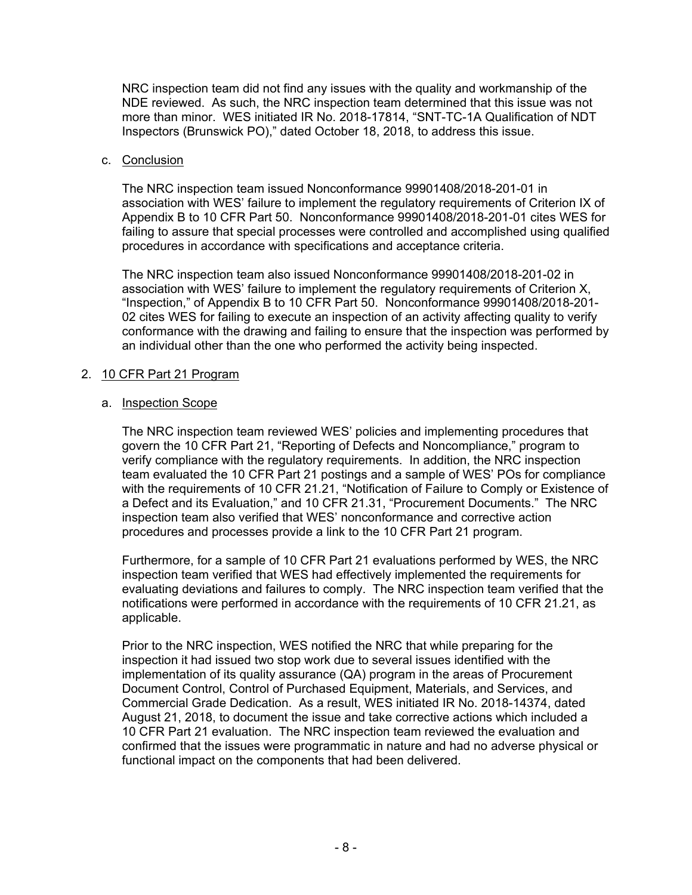NRC inspection team did not find any issues with the quality and workmanship of the NDE reviewed. As such, the NRC inspection team determined that this issue was not more than minor. WES initiated IR No. 2018-17814, "SNT-TC-1A Qualification of NDT Inspectors (Brunswick PO)," dated October 18, 2018, to address this issue.

#### c. Conclusion

The NRC inspection team issued Nonconformance 99901408/2018-201-01 in association with WES' failure to implement the regulatory requirements of Criterion IX of Appendix B to 10 CFR Part 50. Nonconformance 99901408/2018-201-01 cites WES for failing to assure that special processes were controlled and accomplished using qualified procedures in accordance with specifications and acceptance criteria.

The NRC inspection team also issued Nonconformance 99901408/2018-201-02 in association with WES' failure to implement the regulatory requirements of Criterion X, "Inspection," of Appendix B to 10 CFR Part 50. Nonconformance 99901408/2018-201- 02 cites WES for failing to execute an inspection of an activity affecting quality to verify conformance with the drawing and failing to ensure that the inspection was performed by an individual other than the one who performed the activity being inspected.

# 2. 10 CFR Part 21 Program

#### a. Inspection Scope

The NRC inspection team reviewed WES' policies and implementing procedures that govern the 10 CFR Part 21, "Reporting of Defects and Noncompliance," program to verify compliance with the regulatory requirements. In addition, the NRC inspection team evaluated the 10 CFR Part 21 postings and a sample of WES' POs for compliance with the requirements of 10 CFR 21.21, "Notification of Failure to Comply or Existence of a Defect and its Evaluation," and 10 CFR 21.31, "Procurement Documents." The NRC inspection team also verified that WES' nonconformance and corrective action procedures and processes provide a link to the 10 CFR Part 21 program.

Furthermore, for a sample of 10 CFR Part 21 evaluations performed by WES, the NRC inspection team verified that WES had effectively implemented the requirements for evaluating deviations and failures to comply. The NRC inspection team verified that the notifications were performed in accordance with the requirements of 10 CFR 21.21, as applicable.

Prior to the NRC inspection, WES notified the NRC that while preparing for the inspection it had issued two stop work due to several issues identified with the implementation of its quality assurance (QA) program in the areas of Procurement Document Control, Control of Purchased Equipment, Materials, and Services, and Commercial Grade Dedication. As a result, WES initiated IR No. 2018-14374, dated August 21, 2018, to document the issue and take corrective actions which included a 10 CFR Part 21 evaluation. The NRC inspection team reviewed the evaluation and confirmed that the issues were programmatic in nature and had no adverse physical or functional impact on the components that had been delivered.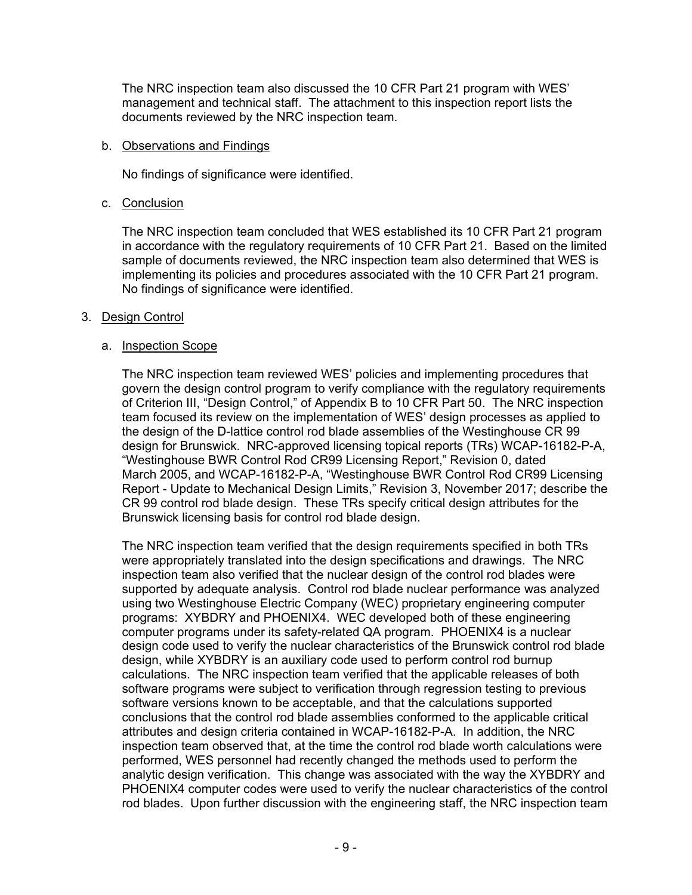The NRC inspection team also discussed the 10 CFR Part 21 program with WES' management and technical staff. The attachment to this inspection report lists the documents reviewed by the NRC inspection team.

#### b. Observations and Findings

No findings of significance were identified.

# c. Conclusion

The NRC inspection team concluded that WES established its 10 CFR Part 21 program in accordance with the regulatory requirements of 10 CFR Part 21. Based on the limited sample of documents reviewed, the NRC inspection team also determined that WES is implementing its policies and procedures associated with the 10 CFR Part 21 program. No findings of significance were identified.

#### 3. Design Control

#### a. Inspection Scope

The NRC inspection team reviewed WES' policies and implementing procedures that govern the design control program to verify compliance with the regulatory requirements of Criterion III, "Design Control," of Appendix B to 10 CFR Part 50. The NRC inspection team focused its review on the implementation of WES' design processes as applied to the design of the D-lattice control rod blade assemblies of the Westinghouse CR 99 design for Brunswick. NRC-approved licensing topical reports (TRs) WCAP-16182-P-A, "Westinghouse BWR Control Rod CR99 Licensing Report," Revision 0, dated March 2005, and WCAP-16182-P-A, "Westinghouse BWR Control Rod CR99 Licensing Report - Update to Mechanical Design Limits," Revision 3, November 2017; describe the CR 99 control rod blade design. These TRs specify critical design attributes for the Brunswick licensing basis for control rod blade design.

The NRC inspection team verified that the design requirements specified in both TRs were appropriately translated into the design specifications and drawings. The NRC inspection team also verified that the nuclear design of the control rod blades were supported by adequate analysis. Control rod blade nuclear performance was analyzed using two Westinghouse Electric Company (WEC) proprietary engineering computer programs: XYBDRY and PHOENIX4. WEC developed both of these engineering computer programs under its safety-related QA program. PHOENIX4 is a nuclear design code used to verify the nuclear characteristics of the Brunswick control rod blade design, while XYBDRY is an auxiliary code used to perform control rod burnup calculations. The NRC inspection team verified that the applicable releases of both software programs were subject to verification through regression testing to previous software versions known to be acceptable, and that the calculations supported conclusions that the control rod blade assemblies conformed to the applicable critical attributes and design criteria contained in WCAP-16182-P-A. In addition, the NRC inspection team observed that, at the time the control rod blade worth calculations were performed, WES personnel had recently changed the methods used to perform the analytic design verification. This change was associated with the way the XYBDRY and PHOENIX4 computer codes were used to verify the nuclear characteristics of the control rod blades. Upon further discussion with the engineering staff, the NRC inspection team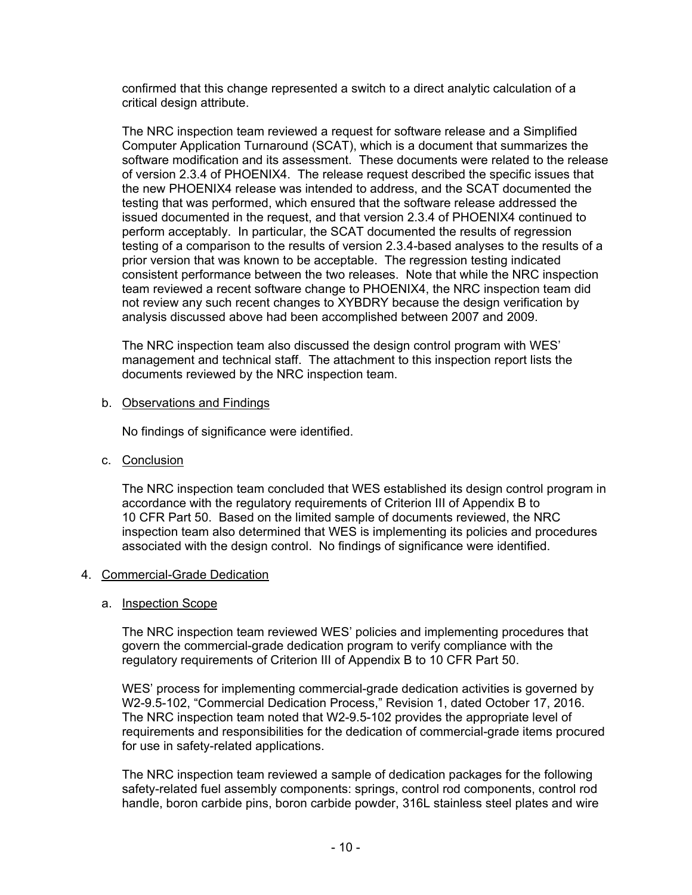confirmed that this change represented a switch to a direct analytic calculation of a critical design attribute.

The NRC inspection team reviewed a request for software release and a Simplified Computer Application Turnaround (SCAT), which is a document that summarizes the software modification and its assessment. These documents were related to the release of version 2.3.4 of PHOENIX4. The release request described the specific issues that the new PHOENIX4 release was intended to address, and the SCAT documented the testing that was performed, which ensured that the software release addressed the issued documented in the request, and that version 2.3.4 of PHOENIX4 continued to perform acceptably. In particular, the SCAT documented the results of regression testing of a comparison to the results of version 2.3.4-based analyses to the results of a prior version that was known to be acceptable. The regression testing indicated consistent performance between the two releases. Note that while the NRC inspection team reviewed a recent software change to PHOENIX4, the NRC inspection team did not review any such recent changes to XYBDRY because the design verification by analysis discussed above had been accomplished between 2007 and 2009.

The NRC inspection team also discussed the design control program with WES' management and technical staff. The attachment to this inspection report lists the documents reviewed by the NRC inspection team.

#### b. Observations and Findings

No findings of significance were identified.

c. Conclusion

The NRC inspection team concluded that WES established its design control program in accordance with the regulatory requirements of Criterion III of Appendix B to 10 CFR Part 50. Based on the limited sample of documents reviewed, the NRC inspection team also determined that WES is implementing its policies and procedures associated with the design control. No findings of significance were identified.

#### 4. Commercial-Grade Dedication

#### a. Inspection Scope

The NRC inspection team reviewed WES' policies and implementing procedures that govern the commercial-grade dedication program to verify compliance with the regulatory requirements of Criterion III of Appendix B to 10 CFR Part 50.

WES' process for implementing commercial-grade dedication activities is governed by W2-9.5-102, "Commercial Dedication Process," Revision 1, dated October 17, 2016. The NRC inspection team noted that W2-9.5-102 provides the appropriate level of requirements and responsibilities for the dedication of commercial-grade items procured for use in safety-related applications.

The NRC inspection team reviewed a sample of dedication packages for the following safety-related fuel assembly components: springs, control rod components, control rod handle, boron carbide pins, boron carbide powder, 316L stainless steel plates and wire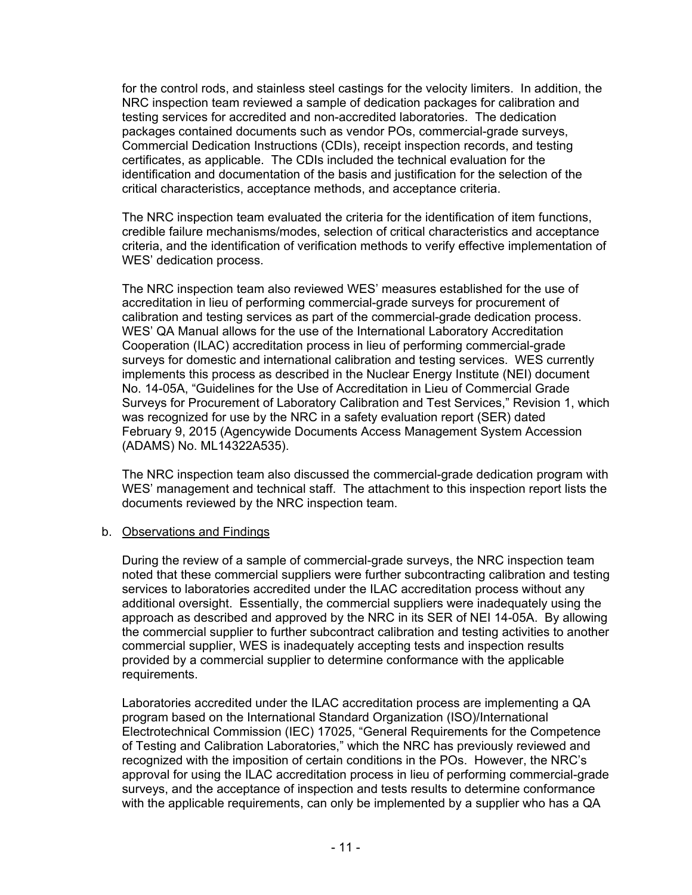for the control rods, and stainless steel castings for the velocity limiters. In addition, the NRC inspection team reviewed a sample of dedication packages for calibration and testing services for accredited and non-accredited laboratories. The dedication packages contained documents such as vendor POs, commercial-grade surveys, Commercial Dedication Instructions (CDIs), receipt inspection records, and testing certificates, as applicable. The CDIs included the technical evaluation for the identification and documentation of the basis and justification for the selection of the critical characteristics, acceptance methods, and acceptance criteria.

The NRC inspection team evaluated the criteria for the identification of item functions, credible failure mechanisms/modes, selection of critical characteristics and acceptance criteria, and the identification of verification methods to verify effective implementation of WES' dedication process.

The NRC inspection team also reviewed WES' measures established for the use of accreditation in lieu of performing commercial-grade surveys for procurement of calibration and testing services as part of the commercial-grade dedication process. WES' QA Manual allows for the use of the International Laboratory Accreditation Cooperation (ILAC) accreditation process in lieu of performing commercial-grade surveys for domestic and international calibration and testing services. WES currently implements this process as described in the Nuclear Energy Institute (NEI) document No. 14-05A, "Guidelines for the Use of Accreditation in Lieu of Commercial Grade Surveys for Procurement of Laboratory Calibration and Test Services," Revision 1, which was recognized for use by the NRC in a safety evaluation report (SER) dated February 9, 2015 (Agencywide Documents Access Management System Accession (ADAMS) No. ML14322A535).

The NRC inspection team also discussed the commercial-grade dedication program with WES' management and technical staff. The attachment to this inspection report lists the documents reviewed by the NRC inspection team.

# b. Observations and Findings

During the review of a sample of commercial-grade surveys, the NRC inspection team noted that these commercial suppliers were further subcontracting calibration and testing services to laboratories accredited under the ILAC accreditation process without any additional oversight. Essentially, the commercial suppliers were inadequately using the approach as described and approved by the NRC in its SER of NEI 14-05A. By allowing the commercial supplier to further subcontract calibration and testing activities to another commercial supplier, WES is inadequately accepting tests and inspection results provided by a commercial supplier to determine conformance with the applicable requirements.

Laboratories accredited under the ILAC accreditation process are implementing a QA program based on the International Standard Organization (ISO)/International Electrotechnical Commission (IEC) 17025, "General Requirements for the Competence of Testing and Calibration Laboratories," which the NRC has previously reviewed and recognized with the imposition of certain conditions in the POs. However, the NRC's approval for using the ILAC accreditation process in lieu of performing commercial-grade surveys, and the acceptance of inspection and tests results to determine conformance with the applicable requirements, can only be implemented by a supplier who has a QA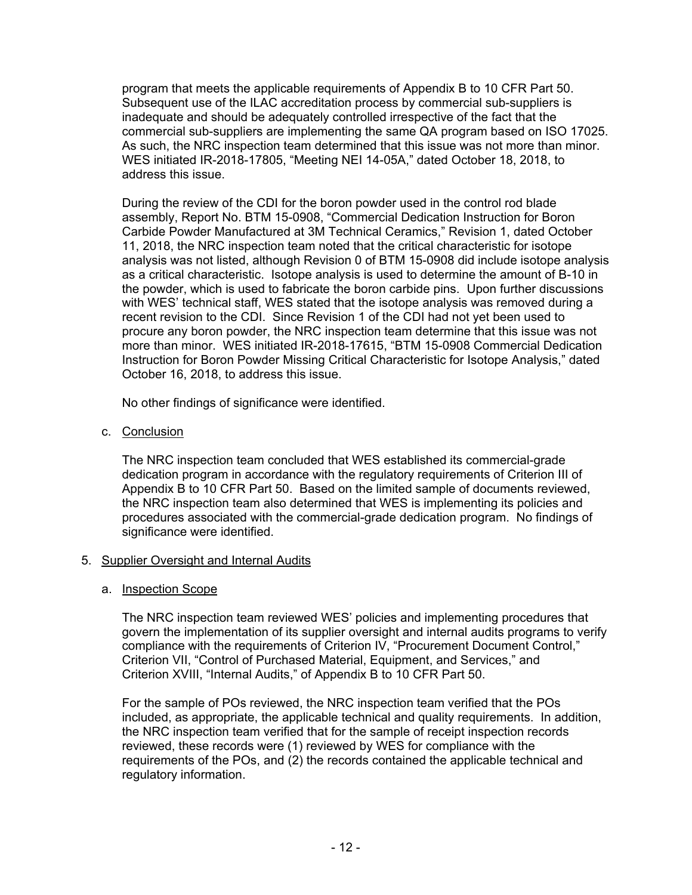program that meets the applicable requirements of Appendix B to 10 CFR Part 50. Subsequent use of the ILAC accreditation process by commercial sub-suppliers is inadequate and should be adequately controlled irrespective of the fact that the commercial sub-suppliers are implementing the same QA program based on ISO 17025. As such, the NRC inspection team determined that this issue was not more than minor. WES initiated IR-2018-17805, "Meeting NEI 14-05A," dated October 18, 2018, to address this issue.

During the review of the CDI for the boron powder used in the control rod blade assembly, Report No. BTM 15-0908, "Commercial Dedication Instruction for Boron Carbide Powder Manufactured at 3M Technical Ceramics," Revision 1, dated October 11, 2018, the NRC inspection team noted that the critical characteristic for isotope analysis was not listed, although Revision 0 of BTM 15-0908 did include isotope analysis as a critical characteristic. Isotope analysis is used to determine the amount of B-10 in the powder, which is used to fabricate the boron carbide pins. Upon further discussions with WES' technical staff, WES stated that the isotope analysis was removed during a recent revision to the CDI. Since Revision 1 of the CDI had not yet been used to procure any boron powder, the NRC inspection team determine that this issue was not more than minor. WES initiated IR-2018-17615, "BTM 15-0908 Commercial Dedication Instruction for Boron Powder Missing Critical Characteristic for Isotope Analysis," dated October 16, 2018, to address this issue.

No other findings of significance were identified.

c. Conclusion

The NRC inspection team concluded that WES established its commercial-grade dedication program in accordance with the regulatory requirements of Criterion III of Appendix B to 10 CFR Part 50. Based on the limited sample of documents reviewed, the NRC inspection team also determined that WES is implementing its policies and procedures associated with the commercial-grade dedication program. No findings of significance were identified.

# 5. Supplier Oversight and Internal Audits

# a. Inspection Scope

The NRC inspection team reviewed WES' policies and implementing procedures that govern the implementation of its supplier oversight and internal audits programs to verify compliance with the requirements of Criterion IV, "Procurement Document Control," Criterion VII, "Control of Purchased Material, Equipment, and Services," and Criterion XVIII, "Internal Audits," of Appendix B to 10 CFR Part 50.

For the sample of POs reviewed, the NRC inspection team verified that the POs included, as appropriate, the applicable technical and quality requirements. In addition, the NRC inspection team verified that for the sample of receipt inspection records reviewed, these records were (1) reviewed by WES for compliance with the requirements of the POs, and (2) the records contained the applicable technical and regulatory information.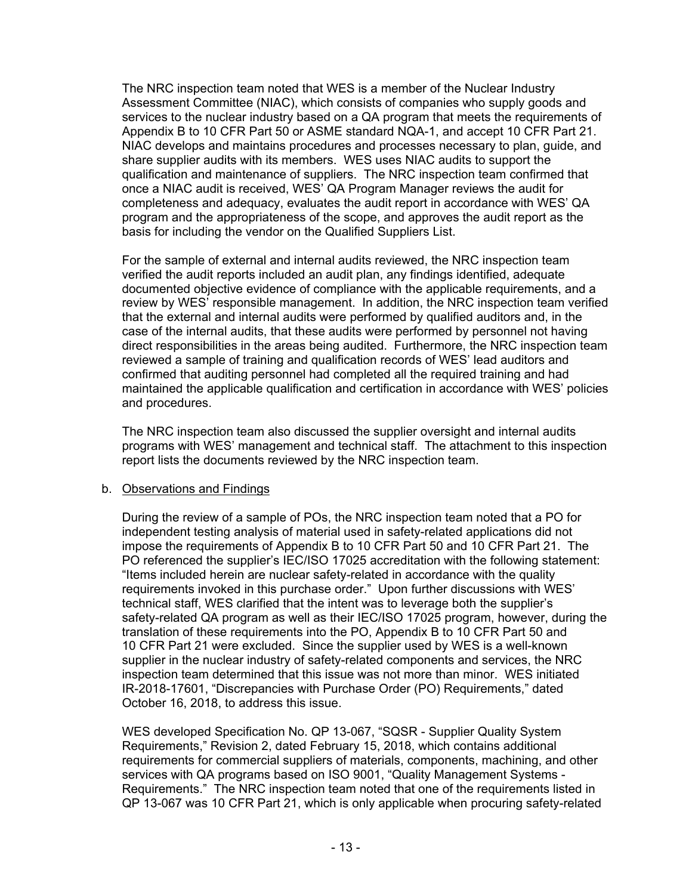The NRC inspection team noted that WES is a member of the Nuclear Industry Assessment Committee (NIAC), which consists of companies who supply goods and services to the nuclear industry based on a QA program that meets the requirements of Appendix B to 10 CFR Part 50 or ASME standard NQA-1, and accept 10 CFR Part 21. NIAC develops and maintains procedures and processes necessary to plan, guide, and share supplier audits with its members. WES uses NIAC audits to support the qualification and maintenance of suppliers. The NRC inspection team confirmed that once a NIAC audit is received, WES' QA Program Manager reviews the audit for completeness and adequacy, evaluates the audit report in accordance with WES' QA program and the appropriateness of the scope, and approves the audit report as the basis for including the vendor on the Qualified Suppliers List.

For the sample of external and internal audits reviewed, the NRC inspection team verified the audit reports included an audit plan, any findings identified, adequate documented objective evidence of compliance with the applicable requirements, and a review by WES' responsible management. In addition, the NRC inspection team verified that the external and internal audits were performed by qualified auditors and, in the case of the internal audits, that these audits were performed by personnel not having direct responsibilities in the areas being audited. Furthermore, the NRC inspection team reviewed a sample of training and qualification records of WES' lead auditors and confirmed that auditing personnel had completed all the required training and had maintained the applicable qualification and certification in accordance with WES' policies and procedures.

The NRC inspection team also discussed the supplier oversight and internal audits programs with WES' management and technical staff. The attachment to this inspection report lists the documents reviewed by the NRC inspection team.

# b. Observations and Findings

During the review of a sample of POs, the NRC inspection team noted that a PO for independent testing analysis of material used in safety-related applications did not impose the requirements of Appendix B to 10 CFR Part 50 and 10 CFR Part 21. The PO referenced the supplier's IEC/ISO 17025 accreditation with the following statement: "Items included herein are nuclear safety-related in accordance with the quality requirements invoked in this purchase order." Upon further discussions with WES' technical staff, WES clarified that the intent was to leverage both the supplier's safety-related QA program as well as their IEC/ISO 17025 program, however, during the translation of these requirements into the PO, Appendix B to 10 CFR Part 50 and 10 CFR Part 21 were excluded. Since the supplier used by WES is a well-known supplier in the nuclear industry of safety-related components and services, the NRC inspection team determined that this issue was not more than minor. WES initiated IR-2018-17601, "Discrepancies with Purchase Order (PO) Requirements," dated October 16, 2018, to address this issue.

WES developed Specification No. QP 13-067, "SQSR - Supplier Quality System Requirements," Revision 2, dated February 15, 2018, which contains additional requirements for commercial suppliers of materials, components, machining, and other services with QA programs based on ISO 9001, "Quality Management Systems - Requirements." The NRC inspection team noted that one of the requirements listed in QP 13-067 was 10 CFR Part 21, which is only applicable when procuring safety-related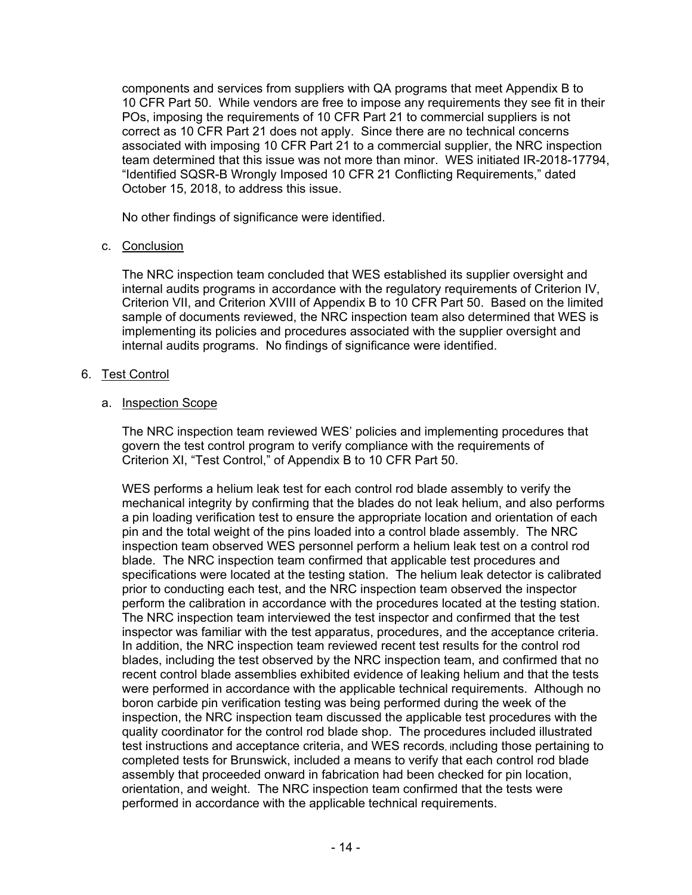components and services from suppliers with QA programs that meet Appendix B to 10 CFR Part 50. While vendors are free to impose any requirements they see fit in their POs, imposing the requirements of 10 CFR Part 21 to commercial suppliers is not correct as 10 CFR Part 21 does not apply. Since there are no technical concerns associated with imposing 10 CFR Part 21 to a commercial supplier, the NRC inspection team determined that this issue was not more than minor. WES initiated IR-2018-17794, "Identified SQSR-B Wrongly Imposed 10 CFR 21 Conflicting Requirements," dated October 15, 2018, to address this issue.

No other findings of significance were identified.

# c. Conclusion

The NRC inspection team concluded that WES established its supplier oversight and internal audits programs in accordance with the regulatory requirements of Criterion IV, Criterion VII, and Criterion XVIII of Appendix B to 10 CFR Part 50. Based on the limited sample of documents reviewed, the NRC inspection team also determined that WES is implementing its policies and procedures associated with the supplier oversight and internal audits programs. No findings of significance were identified.

#### 6. Test Control

#### a. Inspection Scope

The NRC inspection team reviewed WES' policies and implementing procedures that govern the test control program to verify compliance with the requirements of Criterion XI, "Test Control," of Appendix B to 10 CFR Part 50.

WES performs a helium leak test for each control rod blade assembly to verify the mechanical integrity by confirming that the blades do not leak helium, and also performs a pin loading verification test to ensure the appropriate location and orientation of each pin and the total weight of the pins loaded into a control blade assembly. The NRC inspection team observed WES personnel perform a helium leak test on a control rod blade. The NRC inspection team confirmed that applicable test procedures and specifications were located at the testing station. The helium leak detector is calibrated prior to conducting each test, and the NRC inspection team observed the inspector perform the calibration in accordance with the procedures located at the testing station. The NRC inspection team interviewed the test inspector and confirmed that the test inspector was familiar with the test apparatus, procedures, and the acceptance criteria. In addition, the NRC inspection team reviewed recent test results for the control rod blades, including the test observed by the NRC inspection team, and confirmed that no recent control blade assemblies exhibited evidence of leaking helium and that the tests were performed in accordance with the applicable technical requirements. Although no boron carbide pin verification testing was being performed during the week of the inspection, the NRC inspection team discussed the applicable test procedures with the quality coordinator for the control rod blade shop. The procedures included illustrated test instructions and acceptance criteria, and WES records, including those pertaining to completed tests for Brunswick, included a means to verify that each control rod blade assembly that proceeded onward in fabrication had been checked for pin location, orientation, and weight. The NRC inspection team confirmed that the tests were performed in accordance with the applicable technical requirements.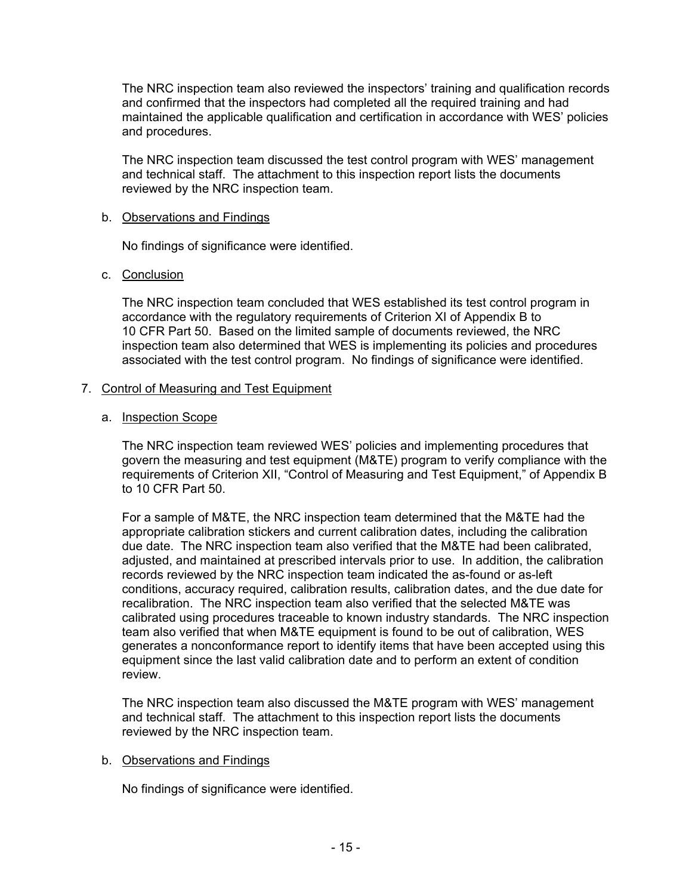The NRC inspection team also reviewed the inspectors' training and qualification records and confirmed that the inspectors had completed all the required training and had maintained the applicable qualification and certification in accordance with WES' policies and procedures.

The NRC inspection team discussed the test control program with WES' management and technical staff. The attachment to this inspection report lists the documents reviewed by the NRC inspection team.

#### b. Observations and Findings

No findings of significance were identified.

#### c. Conclusion

The NRC inspection team concluded that WES established its test control program in accordance with the regulatory requirements of Criterion XI of Appendix B to 10 CFR Part 50. Based on the limited sample of documents reviewed, the NRC inspection team also determined that WES is implementing its policies and procedures associated with the test control program. No findings of significance were identified.

# 7. Control of Measuring and Test Equipment

#### a. Inspection Scope

The NRC inspection team reviewed WES' policies and implementing procedures that govern the measuring and test equipment (M&TE) program to verify compliance with the requirements of Criterion XII, "Control of Measuring and Test Equipment," of Appendix B to 10 CFR Part 50.

For a sample of M&TE, the NRC inspection team determined that the M&TE had the appropriate calibration stickers and current calibration dates, including the calibration due date. The NRC inspection team also verified that the M&TE had been calibrated, adjusted, and maintained at prescribed intervals prior to use. In addition, the calibration records reviewed by the NRC inspection team indicated the as-found or as-left conditions, accuracy required, calibration results, calibration dates, and the due date for recalibration. The NRC inspection team also verified that the selected M&TE was calibrated using procedures traceable to known industry standards. The NRC inspection team also verified that when M&TE equipment is found to be out of calibration, WES generates a nonconformance report to identify items that have been accepted using this equipment since the last valid calibration date and to perform an extent of condition review.

The NRC inspection team also discussed the M&TE program with WES' management and technical staff. The attachment to this inspection report lists the documents reviewed by the NRC inspection team.

#### b. Observations and Findings

No findings of significance were identified.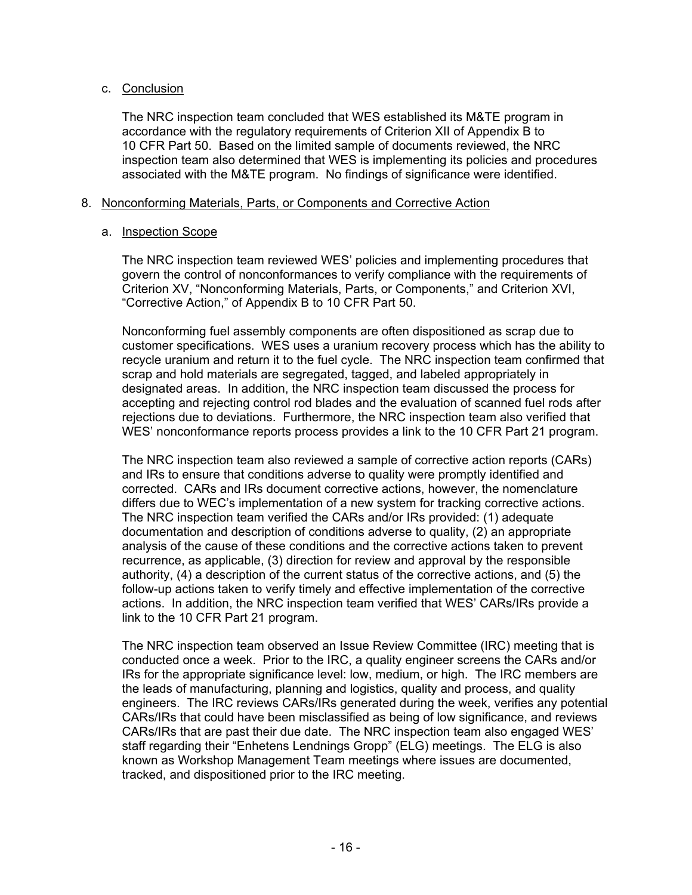# c. Conclusion

The NRC inspection team concluded that WES established its M&TE program in accordance with the regulatory requirements of Criterion XII of Appendix B to 10 CFR Part 50. Based on the limited sample of documents reviewed, the NRC inspection team also determined that WES is implementing its policies and procedures associated with the M&TE program. No findings of significance were identified.

## 8. Nonconforming Materials, Parts, or Components and Corrective Action

# a. Inspection Scope

The NRC inspection team reviewed WES' policies and implementing procedures that govern the control of nonconformances to verify compliance with the requirements of Criterion XV, "Nonconforming Materials, Parts, or Components," and Criterion XVI, "Corrective Action," of Appendix B to 10 CFR Part 50.

Nonconforming fuel assembly components are often dispositioned as scrap due to customer specifications. WES uses a uranium recovery process which has the ability to recycle uranium and return it to the fuel cycle. The NRC inspection team confirmed that scrap and hold materials are segregated, tagged, and labeled appropriately in designated areas. In addition, the NRC inspection team discussed the process for accepting and rejecting control rod blades and the evaluation of scanned fuel rods after rejections due to deviations. Furthermore, the NRC inspection team also verified that WES' nonconformance reports process provides a link to the 10 CFR Part 21 program.

The NRC inspection team also reviewed a sample of corrective action reports (CARs) and IRs to ensure that conditions adverse to quality were promptly identified and corrected. CARs and IRs document corrective actions, however, the nomenclature differs due to WEC's implementation of a new system for tracking corrective actions. The NRC inspection team verified the CARs and/or IRs provided: (1) adequate documentation and description of conditions adverse to quality, (2) an appropriate analysis of the cause of these conditions and the corrective actions taken to prevent recurrence, as applicable, (3) direction for review and approval by the responsible authority, (4) a description of the current status of the corrective actions, and (5) the follow-up actions taken to verify timely and effective implementation of the corrective actions. In addition, the NRC inspection team verified that WES' CARs/IRs provide a link to the 10 CFR Part 21 program.

The NRC inspection team observed an Issue Review Committee (IRC) meeting that is conducted once a week. Prior to the IRC, a quality engineer screens the CARs and/or IRs for the appropriate significance level: low, medium, or high. The IRC members are the leads of manufacturing, planning and logistics, quality and process, and quality engineers. The IRC reviews CARs/IRs generated during the week, verifies any potential CARs/IRs that could have been misclassified as being of low significance, and reviews CARs/IRs that are past their due date. The NRC inspection team also engaged WES' staff regarding their "Enhetens Lendnings Gropp" (ELG) meetings. The ELG is also known as Workshop Management Team meetings where issues are documented, tracked, and dispositioned prior to the IRC meeting.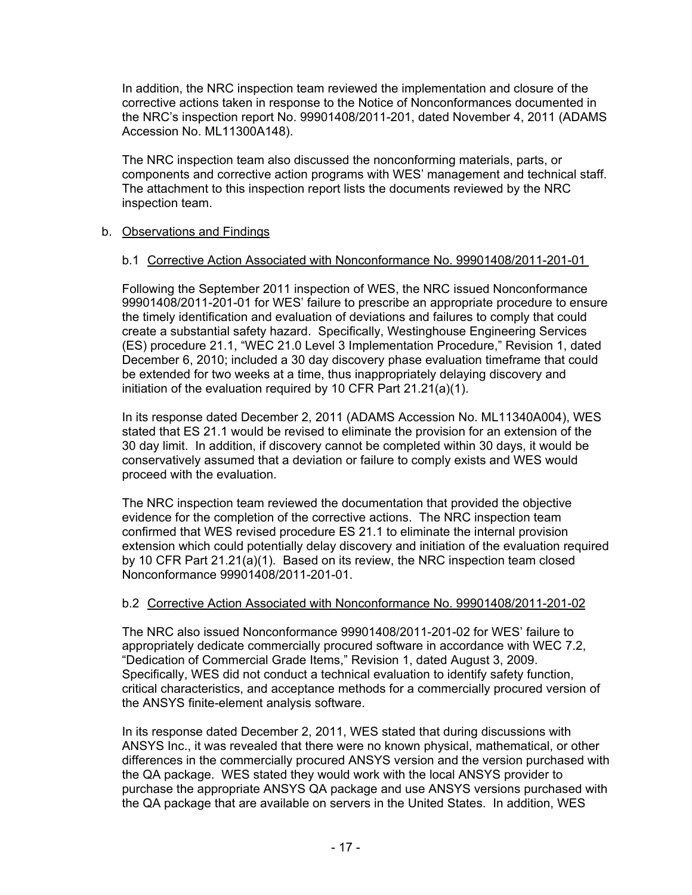In addition, the NRC inspection team reviewed the implementation and closure of the corrective actions taken in response to the Notice of Nonconformances documented in the NRC's inspection report No. 99901408/2011-201, dated November 4, 2011 (ADAMS Accession No. ML11300A148).

The NRC inspection team also discussed the nonconforming materials, parts, or components and corrective action programs with WES' management and technical staff. The attachment to this inspection report lists the documents reviewed by the NRC inspection team.

# b. Observations and Findings

#### b.1 Corrective Action Associated with Nonconformance No. 99901408/2011-201-01

Following the September 2011 inspection of WES, the NRC issued Nonconformance 99901408/2011-201-01 for WES' failure to prescribe an appropriate procedure to ensure the timely identification and evaluation of deviations and failures to comply that could create a substantial safety hazard. Specifically, Westinghouse Engineering Services (ES) procedure 21.1, "WEC 21.0 Level 3 Implementation Procedure," Revision 1, dated December 6, 2010; included a 30 day discovery phase evaluation timeframe that could be extended for two weeks at a time, thus inappropriately delaying discovery and initiation of the evaluation required by 10 CFR Part 21.21(a)(1).

In its response dated December 2, 2011 (ADAMS Accession No. ML11340A004), WES stated that ES 21.1 would be revised to eliminate the provision for an extension of the 30 day limit. In addition, if discovery cannot be completed within 30 days, it would be conservatively assumed that a deviation or failure to comply exists and WES would proceed with the evaluation.

The NRC inspection team reviewed the documentation that provided the objective evidence for the completion of the corrective actions. The NRC inspection team confirmed that WES revised procedure ES 21.1 to eliminate the internal provision extension which could potentially delay discovery and initiation of the evaluation required by 10 CFR Part 21.21(a)(1). Based on its review, the NRC inspection team closed Nonconformance 99901408/2011-201-01.

#### b.2 Corrective Action Associated with Nonconformance No. 99901408/2011-201-02

The NRC also issued Nonconformance 99901408/2011-201-02 for WES' failure to appropriately dedicate commercially procured software in accordance with WEC 7.2, "Dedication of Commercial Grade Items," Revision 1, dated August 3, 2009. Specifically, WES did not conduct a technical evaluation to identify safety function, critical characteristics, and acceptance methods for a commercially procured version of the ANSYS finite-element analysis software.

In its response dated December 2, 2011, WES stated that during discussions with ANSYS Inc., it was revealed that there were no known physical, mathematical, or other differences in the commercially procured ANSYS version and the version purchased with the QA package. WES stated they would work with the local ANSYS provider to purchase the appropriate ANSYS QA package and use ANSYS versions purchased with the QA package that are available on servers in the United States. In addition, WES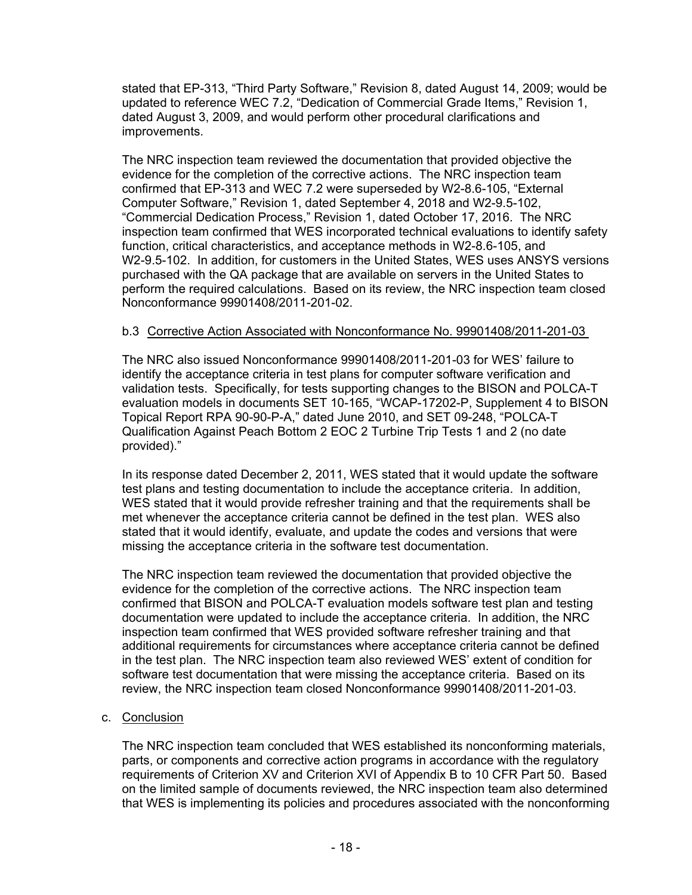stated that EP-313, "Third Party Software," Revision 8, dated August 14, 2009; would be updated to reference WEC 7.2, "Dedication of Commercial Grade Items," Revision 1, dated August 3, 2009, and would perform other procedural clarifications and improvements.

The NRC inspection team reviewed the documentation that provided objective the evidence for the completion of the corrective actions. The NRC inspection team confirmed that EP-313 and WEC 7.2 were superseded by W2-8.6-105, "External Computer Software," Revision 1, dated September 4, 2018 and W2-9.5-102, "Commercial Dedication Process," Revision 1, dated October 17, 2016. The NRC inspection team confirmed that WES incorporated technical evaluations to identify safety function, critical characteristics, and acceptance methods in W2-8.6-105, and W2-9.5-102. In addition, for customers in the United States, WES uses ANSYS versions purchased with the QA package that are available on servers in the United States to perform the required calculations. Based on its review, the NRC inspection team closed Nonconformance 99901408/2011-201-02.

# b.3 Corrective Action Associated with Nonconformance No. 99901408/2011-201-03

The NRC also issued Nonconformance 99901408/2011-201-03 for WES' failure to identify the acceptance criteria in test plans for computer software verification and validation tests. Specifically, for tests supporting changes to the BISON and POLCA-T evaluation models in documents SET 10-165, "WCAP-17202-P, Supplement 4 to BISON Topical Report RPA 90-90-P-A," dated June 2010, and SET 09-248, "POLCA-T Qualification Against Peach Bottom 2 EOC 2 Turbine Trip Tests 1 and 2 (no date provided)."

In its response dated December 2, 2011, WES stated that it would update the software test plans and testing documentation to include the acceptance criteria. In addition, WES stated that it would provide refresher training and that the requirements shall be met whenever the acceptance criteria cannot be defined in the test plan. WES also stated that it would identify, evaluate, and update the codes and versions that were missing the acceptance criteria in the software test documentation.

The NRC inspection team reviewed the documentation that provided objective the evidence for the completion of the corrective actions. The NRC inspection team confirmed that BISON and POLCA-T evaluation models software test plan and testing documentation were updated to include the acceptance criteria. In addition, the NRC inspection team confirmed that WES provided software refresher training and that additional requirements for circumstances where acceptance criteria cannot be defined in the test plan. The NRC inspection team also reviewed WES' extent of condition for software test documentation that were missing the acceptance criteria. Based on its review, the NRC inspection team closed Nonconformance 99901408/2011-201-03.

# c. Conclusion

The NRC inspection team concluded that WES established its nonconforming materials, parts, or components and corrective action programs in accordance with the regulatory requirements of Criterion XV and Criterion XVI of Appendix B to 10 CFR Part 50. Based on the limited sample of documents reviewed, the NRC inspection team also determined that WES is implementing its policies and procedures associated with the nonconforming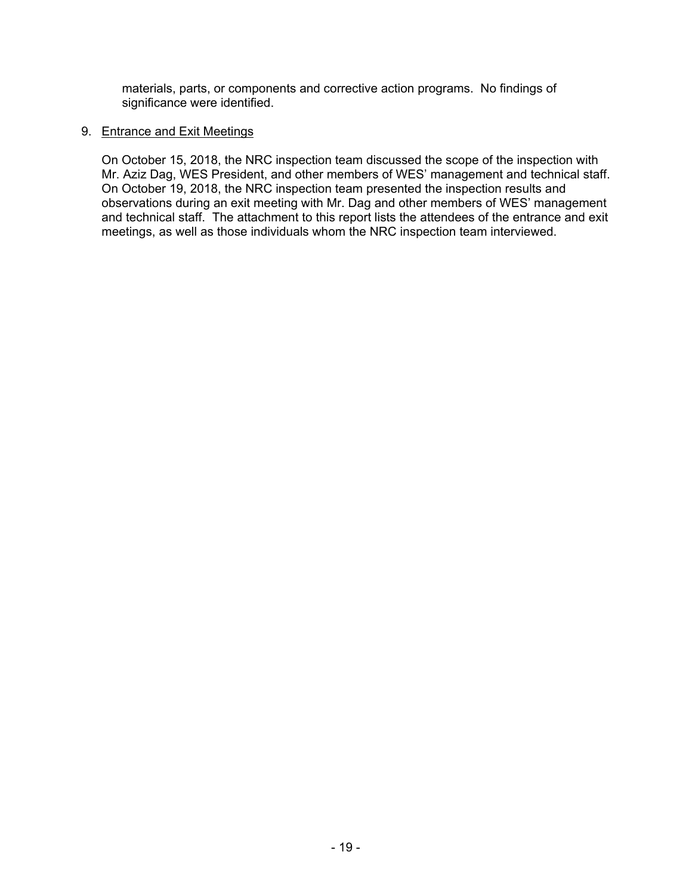materials, parts, or components and corrective action programs. No findings of significance were identified.

#### 9. Entrance and Exit Meetings

On October 15, 2018, the NRC inspection team discussed the scope of the inspection with Mr. Aziz Dag, WES President, and other members of WES' management and technical staff. On October 19, 2018, the NRC inspection team presented the inspection results and observations during an exit meeting with Mr. Dag and other members of WES' management and technical staff. The attachment to this report lists the attendees of the entrance and exit meetings, as well as those individuals whom the NRC inspection team interviewed.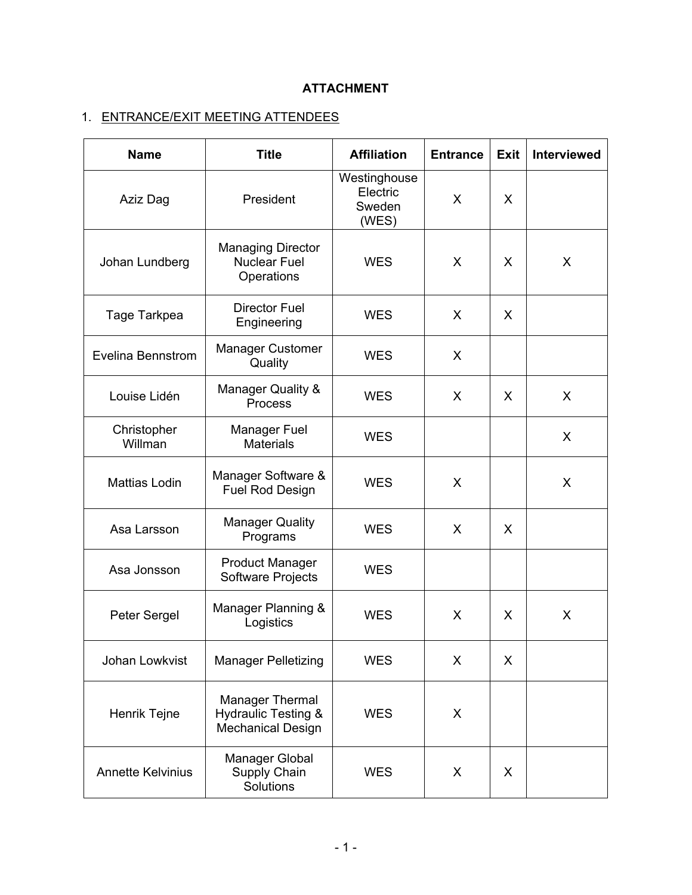# **ATTACHMENT**

# 1. ENTRANCE/EXIT MEETING ATTENDEES

| <b>Name</b>              | <b>Title</b>                                                                         | <b>Affiliation</b>                          | <b>Entrance</b> | <b>Exit</b> | <b>Interviewed</b> |
|--------------------------|--------------------------------------------------------------------------------------|---------------------------------------------|-----------------|-------------|--------------------|
| Aziz Dag                 | President                                                                            | Westinghouse<br>Electric<br>Sweden<br>(WES) | X               | X           |                    |
| Johan Lundberg           | <b>Managing Director</b><br><b>Nuclear Fuel</b><br>Operations                        | <b>WES</b>                                  | X               | X           | X                  |
| Tage Tarkpea             | <b>Director Fuel</b><br>Engineering                                                  | <b>WES</b>                                  | X               | X           |                    |
| Evelina Bennstrom        | <b>Manager Customer</b><br>Quality                                                   | <b>WES</b>                                  | X               |             |                    |
| Louise Lidén             | <b>Manager Quality &amp;</b><br>Process                                              | <b>WES</b>                                  | X               | X           | X                  |
| Christopher<br>Willman   | Manager Fuel<br><b>Materials</b>                                                     | <b>WES</b>                                  |                 |             | X                  |
| Mattias Lodin            | Manager Software &<br><b>Fuel Rod Design</b>                                         | <b>WES</b>                                  | $\mathsf{X}$    |             | X                  |
| Asa Larsson              | <b>Manager Quality</b><br>Programs                                                   | <b>WES</b>                                  | $\sf X$         | X           |                    |
| Asa Jonsson              | <b>Product Manager</b><br><b>Software Projects</b>                                   | <b>WES</b>                                  |                 |             |                    |
| Peter Sergel             | Manager Planning &<br>Logistics                                                      | <b>WES</b>                                  | X               | X           | X                  |
| Johan Lowkvist           | <b>Manager Pelletizing</b>                                                           | <b>WES</b>                                  | X               | X           |                    |
| Henrik Tejne             | <b>Manager Thermal</b><br><b>Hydraulic Testing &amp;</b><br><b>Mechanical Design</b> | <b>WES</b>                                  | X               |             |                    |
| <b>Annette Kelvinius</b> | Manager Global<br>Supply Chain<br>Solutions                                          | <b>WES</b>                                  | X               | X           |                    |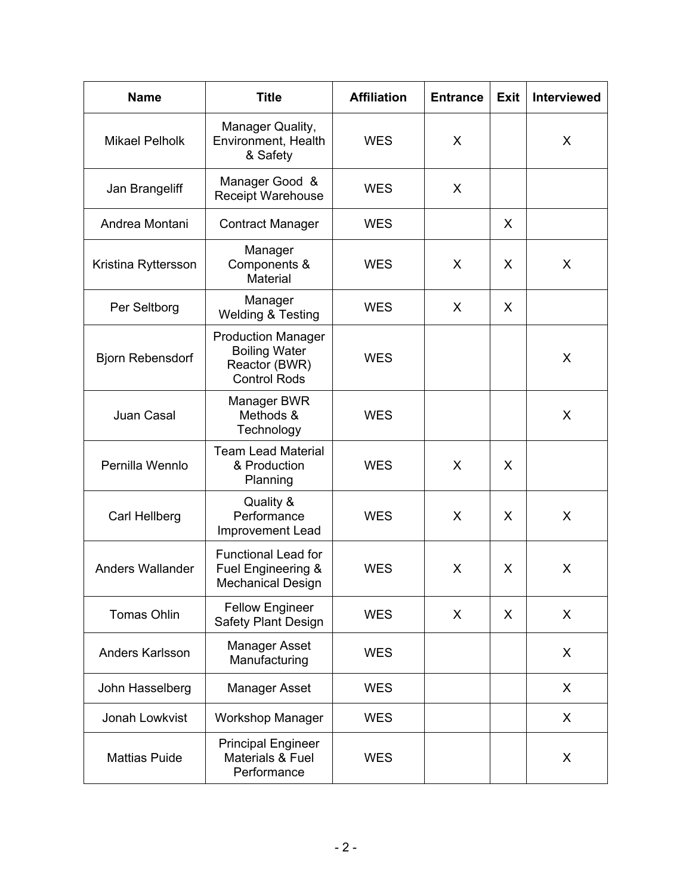| <b>Name</b>             | <b>Title</b>                                                                              | <b>Affiliation</b> | <b>Entrance</b> | <b>Exit</b> | <b>Interviewed</b> |
|-------------------------|-------------------------------------------------------------------------------------------|--------------------|-----------------|-------------|--------------------|
| <b>Mikael Pelholk</b>   | Manager Quality,<br>Environment, Health<br>& Safety                                       | <b>WES</b>         | X               |             | X                  |
| Jan Brangeliff          | Manager Good &<br><b>Receipt Warehouse</b>                                                | <b>WES</b>         | X               |             |                    |
| Andrea Montani          | <b>Contract Manager</b>                                                                   | <b>WES</b>         |                 | X           |                    |
| Kristina Ryttersson     | Manager<br>Components &<br>Material                                                       | <b>WES</b>         | X               | X           | X                  |
| Per Seltborg            | Manager<br><b>Welding &amp; Testing</b>                                                   | <b>WES</b>         | X               | X           |                    |
| <b>Bjorn Rebensdorf</b> | <b>Production Manager</b><br><b>Boiling Water</b><br>Reactor (BWR)<br><b>Control Rods</b> | <b>WES</b>         |                 |             | X                  |
| Juan Casal              | Manager BWR<br>Methods &<br>Technology                                                    | <b>WES</b>         |                 |             | X                  |
| Pernilla Wennlo         | <b>Team Lead Material</b><br>& Production<br>Planning                                     | <b>WES</b>         | X               | X           |                    |
| Carl Hellberg           | Quality &<br>Performance<br>Improvement Lead                                              | <b>WES</b>         | $\mathsf{X}$    | X           | X                  |
| <b>Anders Wallander</b> | <b>Functional Lead for</b><br>Fuel Engineering &<br><b>Mechanical Design</b>              | <b>WES</b>         | X               | X           | X                  |
| <b>Tomas Ohlin</b>      | <b>Fellow Engineer</b><br><b>Safety Plant Design</b>                                      | <b>WES</b>         | X               | X           | X                  |
| Anders Karlsson         | <b>Manager Asset</b><br>Manufacturing                                                     | <b>WES</b>         |                 |             | X                  |
| John Hasselberg         | <b>Manager Asset</b>                                                                      | <b>WES</b>         |                 |             | X                  |
| Jonah Lowkvist          | <b>Workshop Manager</b>                                                                   | <b>WES</b>         |                 |             | X                  |
| <b>Mattias Puide</b>    | <b>Principal Engineer</b><br>Materials & Fuel<br>Performance                              | <b>WES</b>         |                 |             | X                  |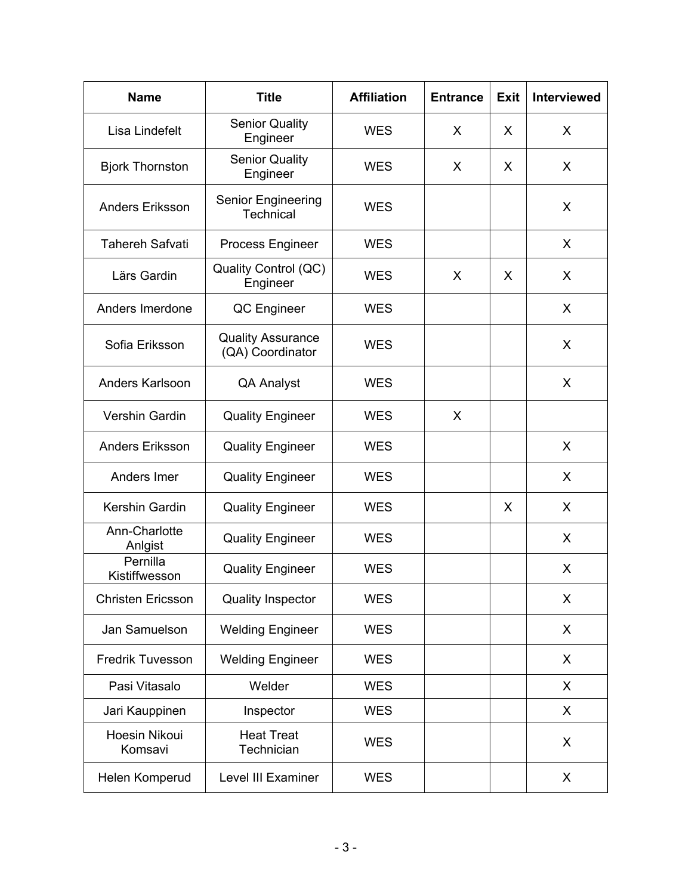| <b>Name</b>               | <b>Title</b>                                  | <b>Affiliation</b> | <b>Entrance</b> | Exit | <b>Interviewed</b> |
|---------------------------|-----------------------------------------------|--------------------|-----------------|------|--------------------|
| Lisa Lindefelt            | <b>Senior Quality</b><br>Engineer             | <b>WES</b>         | X               | X    | X                  |
| <b>Bjork Thornston</b>    | <b>Senior Quality</b><br>Engineer             | <b>WES</b>         | X               | X    | X                  |
| <b>Anders Eriksson</b>    | <b>Senior Engineering</b><br><b>Technical</b> | <b>WES</b>         |                 |      | X                  |
| <b>Tahereh Safvati</b>    | <b>Process Engineer</b>                       | <b>WES</b>         |                 |      | X                  |
| Lärs Gardin               | Quality Control (QC)<br>Engineer              | <b>WES</b>         | X               | X    | X                  |
| Anders Imerdone           | QC Engineer                                   | <b>WES</b>         |                 |      | X                  |
| Sofia Eriksson            | <b>Quality Assurance</b><br>(QA) Coordinator  | <b>WES</b>         |                 |      | X                  |
| Anders Karlsoon           | <b>QA Analyst</b>                             | <b>WES</b>         |                 |      | X                  |
| Vershin Gardin            | <b>Quality Engineer</b>                       | <b>WES</b>         | X               |      |                    |
| <b>Anders Eriksson</b>    | <b>Quality Engineer</b>                       | <b>WES</b>         |                 |      | X                  |
| Anders Imer               | <b>Quality Engineer</b>                       | <b>WES</b>         |                 |      | X                  |
| Kershin Gardin            | <b>Quality Engineer</b>                       | <b>WES</b>         |                 | X    | X                  |
| Ann-Charlotte<br>Anlgist  | <b>Quality Engineer</b>                       | <b>WES</b>         |                 |      | X                  |
| Pernilla<br>Kistiffwesson | <b>Quality Engineer</b>                       | <b>WES</b>         |                 |      | X                  |
| <b>Christen Ericsson</b>  | <b>Quality Inspector</b>                      | <b>WES</b>         |                 |      | X                  |
| Jan Samuelson             | <b>Welding Engineer</b>                       | <b>WES</b>         |                 |      | X                  |
| <b>Fredrik Tuvesson</b>   | <b>Welding Engineer</b>                       | <b>WES</b>         |                 |      | X                  |
| Pasi Vitasalo             | Welder                                        | <b>WES</b>         |                 |      | X                  |
| Jari Kauppinen            | Inspector                                     | <b>WES</b>         |                 |      | X                  |
| Hoesin Nikoui<br>Komsavi  | <b>Heat Treat</b><br>Technician               | <b>WES</b>         |                 |      | X                  |
| Helen Komperud            | Level III Examiner                            | <b>WES</b>         |                 |      | X                  |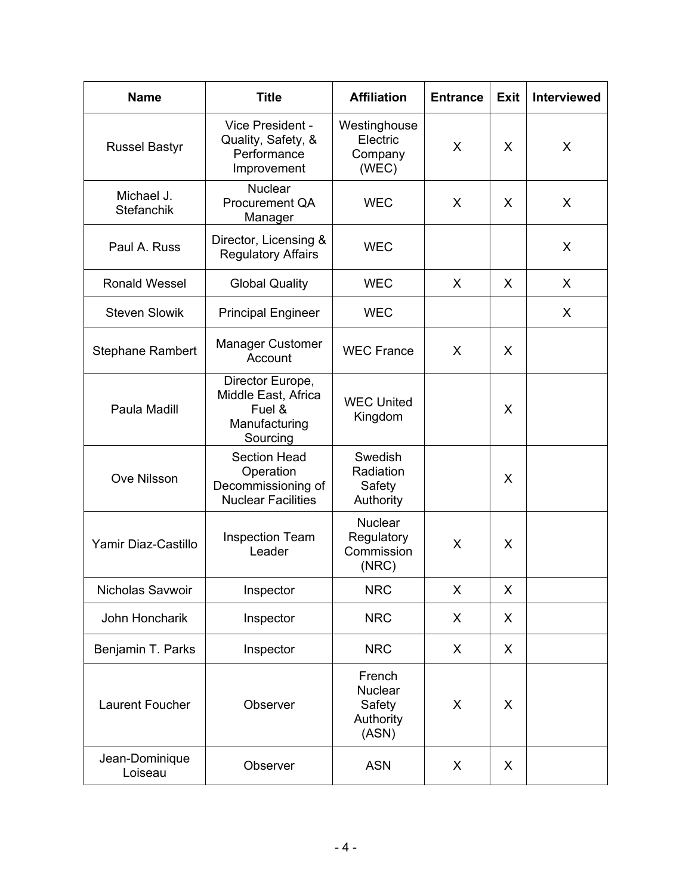| <b>Name</b>                     | <b>Title</b>                                                                        | <b>Affiliation</b>                                       | <b>Entrance</b> | <b>Exit</b> | <b>Interviewed</b> |
|---------------------------------|-------------------------------------------------------------------------------------|----------------------------------------------------------|-----------------|-------------|--------------------|
| <b>Russel Bastyr</b>            | Vice President -<br>Quality, Safety, &<br>Performance<br>Improvement                | Westinghouse<br>Electric<br>Company<br>(WEC)             | $\mathsf{X}$    | X           | X                  |
| Michael J.<br><b>Stefanchik</b> | <b>Nuclear</b><br><b>Procurement QA</b><br>Manager                                  | <b>WEC</b>                                               | X               | X           | X                  |
| Paul A. Russ                    | Director, Licensing &<br><b>Regulatory Affairs</b>                                  | <b>WEC</b>                                               |                 |             | X                  |
| <b>Ronald Wessel</b>            | <b>Global Quality</b>                                                               | <b>WEC</b>                                               | X               | X           | X                  |
| <b>Steven Slowik</b>            | <b>Principal Engineer</b>                                                           | <b>WEC</b>                                               |                 |             | X                  |
| <b>Stephane Rambert</b>         | <b>Manager Customer</b><br>Account                                                  | <b>WEC France</b>                                        | X               | X           |                    |
| Paula Madill                    | Director Europe,<br>Middle East, Africa<br>Fuel &<br>Manufacturing<br>Sourcing      | <b>WEC United</b><br>Kingdom                             |                 | X           |                    |
| Ove Nilsson                     | <b>Section Head</b><br>Operation<br>Decommissioning of<br><b>Nuclear Facilities</b> | Swedish<br>Radiation<br>Safety<br>Authority              |                 | X           |                    |
| Yamir Diaz-Castillo             | <b>Inspection Team</b><br>Leader                                                    | <b>Nuclear</b><br>Regulatory<br>Commission<br>(NRC)      | X               | X           |                    |
| Nicholas Savwoir                | Inspector                                                                           | <b>NRC</b>                                               | X               | X           |                    |
| John Honcharik                  | Inspector                                                                           | <b>NRC</b>                                               | X               | X           |                    |
| Benjamin T. Parks               | Inspector                                                                           | <b>NRC</b>                                               | X               | X           |                    |
| Laurent Foucher                 | Observer                                                                            | French<br><b>Nuclear</b><br>Safety<br>Authority<br>(ASN) | X               | X           |                    |
| Jean-Dominique<br>Loiseau       | Observer                                                                            | <b>ASN</b>                                               | X               | X           |                    |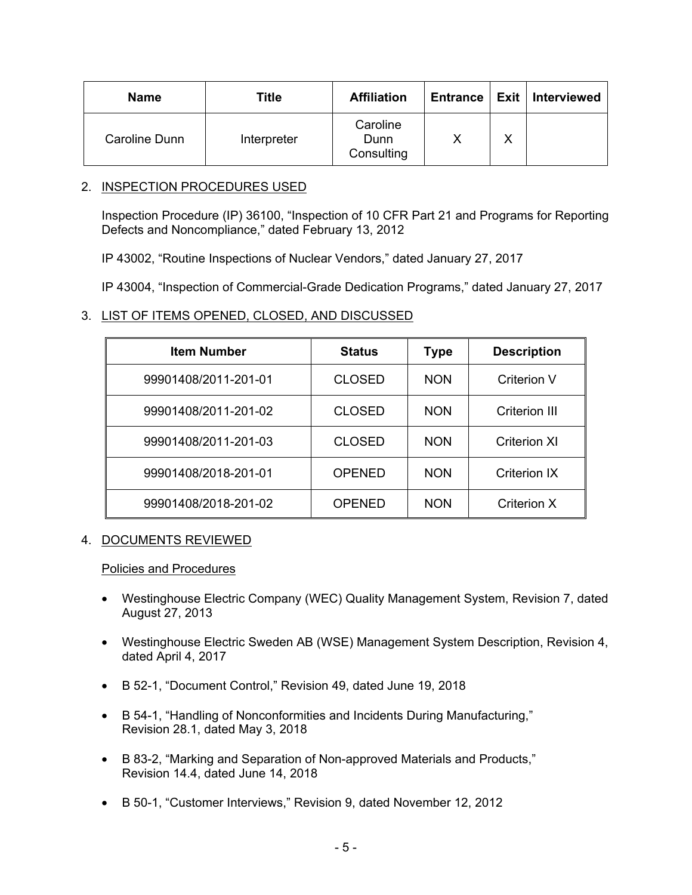| <b>Name</b>   | Title       | <b>Affiliation</b>             |              | Entrance   Exit   Interviewed |
|---------------|-------------|--------------------------------|--------------|-------------------------------|
| Caroline Dunn | Interpreter | Caroline<br>Dunn<br>Consulting | $\checkmark$ |                               |

## 2. INSPECTION PROCEDURES USED

Inspection Procedure (IP) 36100, "Inspection of 10 CFR Part 21 and Programs for Reporting Defects and Noncompliance," dated February 13, 2012

IP 43002, "Routine Inspections of Nuclear Vendors," dated January 27, 2017

IP 43004, "Inspection of Commercial-Grade Dedication Programs," dated January 27, 2017

# 3. LIST OF ITEMS OPENED, CLOSED, AND DISCUSSED

| <b>Item Number</b>   | <b>Status</b> | Type       | <b>Description</b>   |
|----------------------|---------------|------------|----------------------|
| 99901408/2011-201-01 | <b>CLOSED</b> | <b>NON</b> | Criterion V          |
| 99901408/2011-201-02 | <b>CLOSED</b> | <b>NON</b> | <b>Criterion III</b> |
| 99901408/2011-201-03 | <b>CLOSED</b> | <b>NON</b> | Criterion XI         |
| 99901408/2018-201-01 | <b>OPENED</b> | <b>NON</b> | <b>Criterion IX</b>  |
| 99901408/2018-201-02 | <b>OPENED</b> | <b>NON</b> | Criterion X          |

# 4. DOCUMENTS REVIEWED

#### Policies and Procedures

- Westinghouse Electric Company (WEC) Quality Management System, Revision 7, dated August 27, 2013
- Westinghouse Electric Sweden AB (WSE) Management System Description, Revision 4, dated April 4, 2017
- B 52-1, "Document Control," Revision 49, dated June 19, 2018
- B 54-1, "Handling of Nonconformities and Incidents During Manufacturing," Revision 28.1, dated May 3, 2018
- B 83-2, "Marking and Separation of Non-approved Materials and Products," Revision 14.4, dated June 14, 2018
- B 50-1, "Customer Interviews," Revision 9, dated November 12, 2012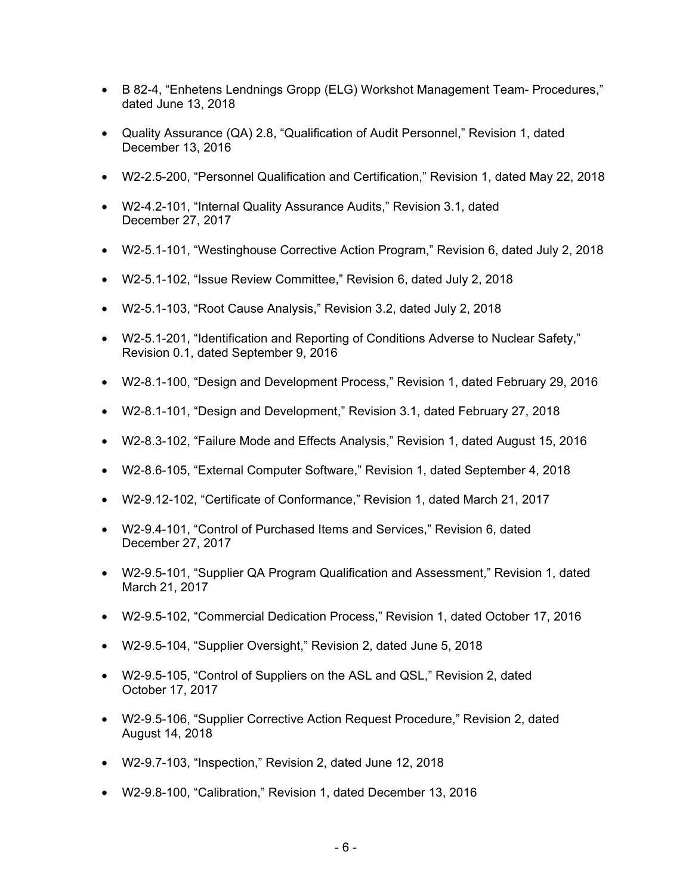- B 82-4, "Enhetens Lendnings Gropp (ELG) Workshot Management Team- Procedures," dated June 13, 2018
- Quality Assurance (QA) 2.8, "Qualification of Audit Personnel," Revision 1, dated December 13, 2016
- W2-2.5-200, "Personnel Qualification and Certification," Revision 1, dated May 22, 2018
- W2-4.2-101, "Internal Quality Assurance Audits," Revision 3.1, dated December 27, 2017
- W2-5.1-101, "Westinghouse Corrective Action Program," Revision 6, dated July 2, 2018
- W2-5.1-102, "Issue Review Committee," Revision 6, dated July 2, 2018
- W2-5.1-103, "Root Cause Analysis," Revision 3.2, dated July 2, 2018
- W2-5.1-201, "Identification and Reporting of Conditions Adverse to Nuclear Safety," Revision 0.1, dated September 9, 2016
- W2-8.1-100, "Design and Development Process," Revision 1, dated February 29, 2016
- W2-8.1-101, "Design and Development," Revision 3.1, dated February 27, 2018
- W2-8.3-102, "Failure Mode and Effects Analysis," Revision 1, dated August 15, 2016
- W2-8.6-105, "External Computer Software," Revision 1, dated September 4, 2018
- W2-9.12-102, "Certificate of Conformance," Revision 1, dated March 21, 2017
- W2-9.4-101, "Control of Purchased Items and Services," Revision 6, dated December 27, 2017
- W2-9.5-101, "Supplier QA Program Qualification and Assessment," Revision 1, dated March 21, 2017
- W2-9.5-102, "Commercial Dedication Process," Revision 1, dated October 17, 2016
- W2-9.5-104, "Supplier Oversight," Revision 2, dated June 5, 2018
- W2-9.5-105, "Control of Suppliers on the ASL and QSL," Revision 2, dated October 17, 2017
- W2-9.5-106, "Supplier Corrective Action Request Procedure," Revision 2, dated August 14, 2018
- W2-9.7-103, "Inspection," Revision 2, dated June 12, 2018
- W2-9.8-100, "Calibration," Revision 1, dated December 13, 2016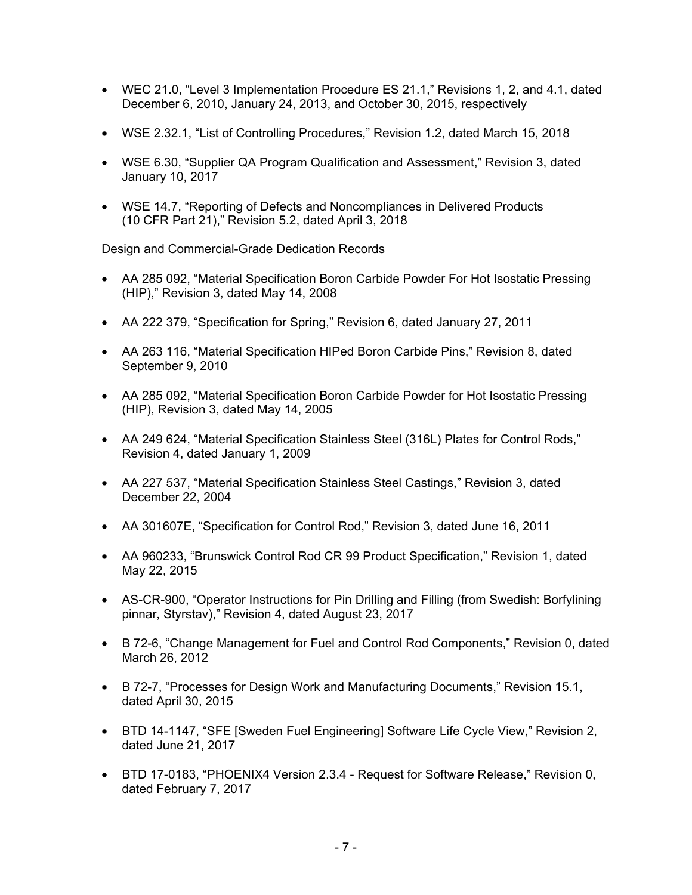- WEC 21.0, "Level 3 Implementation Procedure ES 21.1," Revisions 1, 2, and 4.1, dated December 6, 2010, January 24, 2013, and October 30, 2015, respectively
- WSE 2.32.1, "List of Controlling Procedures," Revision 1.2, dated March 15, 2018
- WSE 6.30, "Supplier QA Program Qualification and Assessment," Revision 3, dated January 10, 2017
- WSE 14.7, "Reporting of Defects and Noncompliances in Delivered Products (10 CFR Part 21)," Revision 5.2, dated April 3, 2018

#### Design and Commercial-Grade Dedication Records

- AA 285 092, "Material Specification Boron Carbide Powder For Hot Isostatic Pressing (HIP)," Revision 3, dated May 14, 2008
- AA 222 379, "Specification for Spring," Revision 6, dated January 27, 2011
- AA 263 116, "Material Specification HIPed Boron Carbide Pins," Revision 8, dated September 9, 2010
- AA 285 092, "Material Specification Boron Carbide Powder for Hot Isostatic Pressing (HIP), Revision 3, dated May 14, 2005
- AA 249 624, "Material Specification Stainless Steel (316L) Plates for Control Rods," Revision 4, dated January 1, 2009
- AA 227 537, "Material Specification Stainless Steel Castings," Revision 3, dated December 22, 2004
- AA 301607E, "Specification for Control Rod," Revision 3, dated June 16, 2011
- AA 960233, "Brunswick Control Rod CR 99 Product Specification," Revision 1, dated May 22, 2015
- AS-CR-900, "Operator Instructions for Pin Drilling and Filling (from Swedish: Borfylining pinnar, Styrstav)," Revision 4, dated August 23, 2017
- B 72-6, "Change Management for Fuel and Control Rod Components," Revision 0, dated March 26, 2012
- B 72-7, "Processes for Design Work and Manufacturing Documents," Revision 15.1, dated April 30, 2015
- BTD 14-1147, "SFE [Sweden Fuel Engineering] Software Life Cycle View," Revision 2, dated June 21, 2017
- BTD 17-0183, "PHOENIX4 Version 2.3.4 Request for Software Release," Revision 0, dated February 7, 2017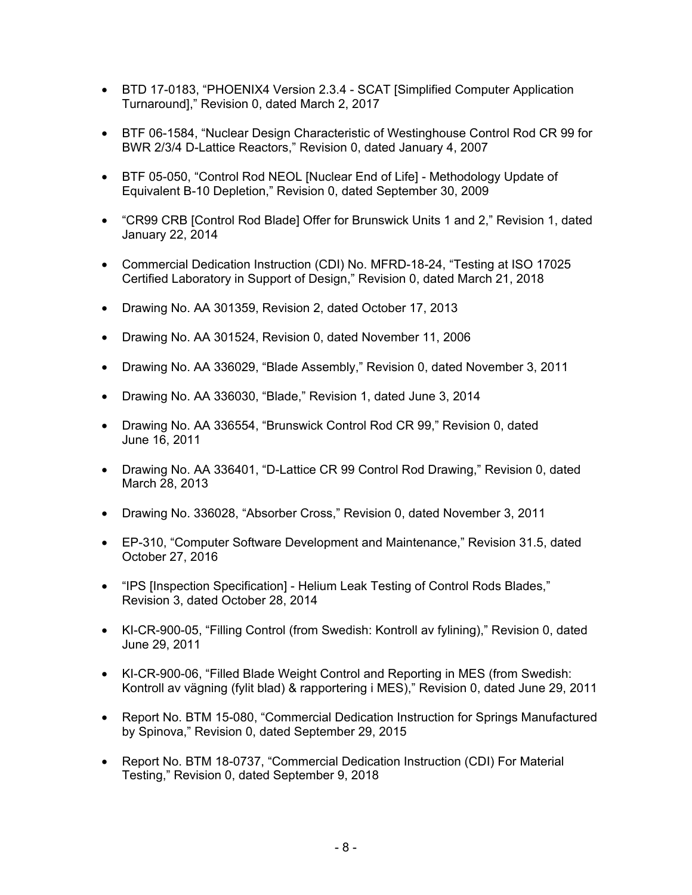- BTD 17-0183, "PHOENIX4 Version 2.3.4 SCAT [Simplified Computer Application Turnaround]," Revision 0, dated March 2, 2017
- BTF 06-1584, "Nuclear Design Characteristic of Westinghouse Control Rod CR 99 for BWR 2/3/4 D-Lattice Reactors," Revision 0, dated January 4, 2007
- BTF 05-050, "Control Rod NEOL [Nuclear End of Life] Methodology Update of Equivalent B-10 Depletion," Revision 0, dated September 30, 2009
- "CR99 CRB [Control Rod Blade] Offer for Brunswick Units 1 and 2," Revision 1, dated January 22, 2014
- Commercial Dedication Instruction (CDI) No. MFRD-18-24, "Testing at ISO 17025 Certified Laboratory in Support of Design," Revision 0, dated March 21, 2018
- Drawing No. AA 301359, Revision 2, dated October 17, 2013
- Drawing No. AA 301524, Revision 0, dated November 11, 2006
- Drawing No. AA 336029, "Blade Assembly," Revision 0, dated November 3, 2011
- Drawing No. AA 336030, "Blade," Revision 1, dated June 3, 2014
- Drawing No. AA 336554, "Brunswick Control Rod CR 99," Revision 0, dated June 16, 2011
- Drawing No. AA 336401, "D-Lattice CR 99 Control Rod Drawing," Revision 0, dated March 28, 2013
- Drawing No. 336028, "Absorber Cross," Revision 0, dated November 3, 2011
- EP-310, "Computer Software Development and Maintenance," Revision 31.5, dated October 27, 2016
- "IPS [Inspection Specification] Helium Leak Testing of Control Rods Blades," Revision 3, dated October 28, 2014
- KI-CR-900-05, "Filling Control (from Swedish: Kontroll av fylining)," Revision 0, dated June 29, 2011
- KI-CR-900-06, "Filled Blade Weight Control and Reporting in MES (from Swedish: Kontroll av vägning (fylit blad) & rapportering i MES)," Revision 0, dated June 29, 2011
- Report No. BTM 15-080, "Commercial Dedication Instruction for Springs Manufactured by Spinova," Revision 0, dated September 29, 2015
- Report No. BTM 18-0737, "Commercial Dedication Instruction (CDI) For Material Testing," Revision 0, dated September 9, 2018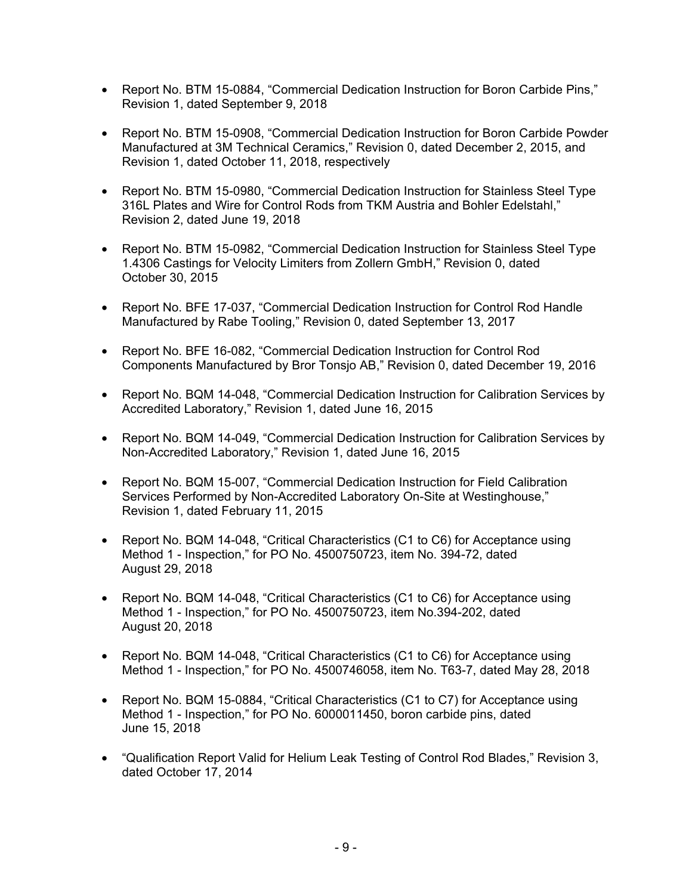- Report No. BTM 15-0884, "Commercial Dedication Instruction for Boron Carbide Pins," Revision 1, dated September 9, 2018
- Report No. BTM 15-0908, "Commercial Dedication Instruction for Boron Carbide Powder Manufactured at 3M Technical Ceramics," Revision 0, dated December 2, 2015, and Revision 1, dated October 11, 2018, respectively
- Report No. BTM 15-0980, "Commercial Dedication Instruction for Stainless Steel Type 316L Plates and Wire for Control Rods from TKM Austria and Bohler Edelstahl," Revision 2, dated June 19, 2018
- Report No. BTM 15-0982, "Commercial Dedication Instruction for Stainless Steel Type 1.4306 Castings for Velocity Limiters from Zollern GmbH," Revision 0, dated October 30, 2015
- Report No. BFE 17-037, "Commercial Dedication Instruction for Control Rod Handle Manufactured by Rabe Tooling," Revision 0, dated September 13, 2017
- Report No. BFE 16-082, "Commercial Dedication Instruction for Control Rod Components Manufactured by Bror Tonsjo AB," Revision 0, dated December 19, 2016
- Report No. BQM 14-048, "Commercial Dedication Instruction for Calibration Services by Accredited Laboratory," Revision 1, dated June 16, 2015
- Report No. BQM 14-049, "Commercial Dedication Instruction for Calibration Services by Non-Accredited Laboratory," Revision 1, dated June 16, 2015
- Report No. BQM 15-007, "Commercial Dedication Instruction for Field Calibration Services Performed by Non-Accredited Laboratory On-Site at Westinghouse," Revision 1, dated February 11, 2015
- Report No. BQM 14-048, "Critical Characteristics (C1 to C6) for Acceptance using Method 1 - Inspection," for PO No. 4500750723, item No. 394-72, dated August 29, 2018
- Report No. BQM 14-048, "Critical Characteristics (C1 to C6) for Acceptance using Method 1 - Inspection," for PO No. 4500750723, item No.394-202, dated August 20, 2018
- Report No. BQM 14-048, "Critical Characteristics (C1 to C6) for Acceptance using Method 1 - Inspection," for PO No. 4500746058, item No. T63-7, dated May 28, 2018
- Report No. BQM 15-0884, "Critical Characteristics (C1 to C7) for Acceptance using Method 1 - Inspection," for PO No. 6000011450, boron carbide pins, dated June 15, 2018
- "Qualification Report Valid for Helium Leak Testing of Control Rod Blades," Revision 3, dated October 17, 2014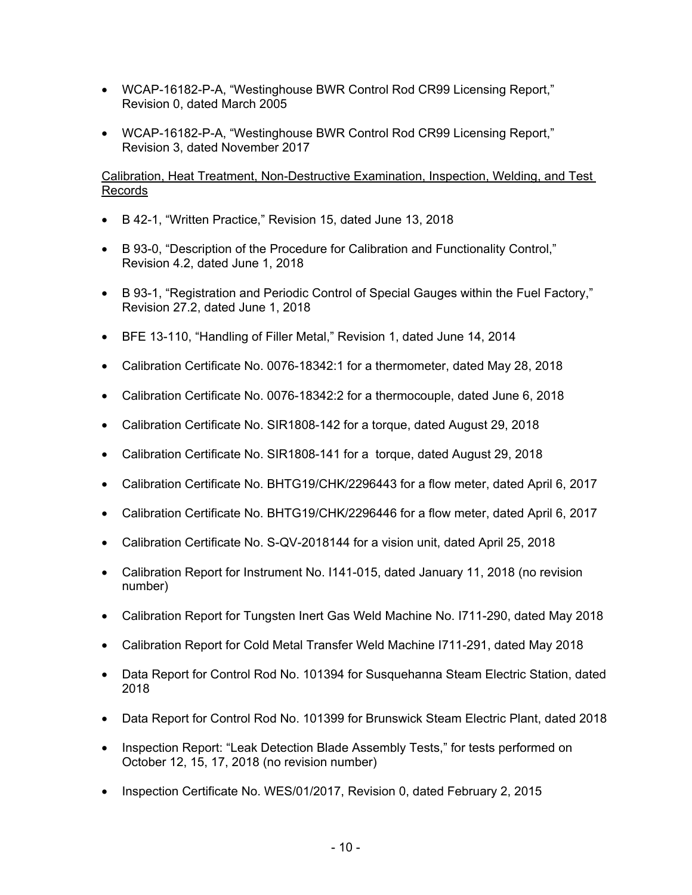- WCAP-16182-P-A, "Westinghouse BWR Control Rod CR99 Licensing Report," Revision 0, dated March 2005
- WCAP-16182-P-A, "Westinghouse BWR Control Rod CR99 Licensing Report," Revision 3, dated November 2017

## Calibration, Heat Treatment, Non-Destructive Examination, Inspection, Welding, and Test Records

- B 42-1, "Written Practice," Revision 15, dated June 13, 2018
- B 93-0, "Description of the Procedure for Calibration and Functionality Control," Revision 4.2, dated June 1, 2018
- B 93-1, "Registration and Periodic Control of Special Gauges within the Fuel Factory," Revision 27.2, dated June 1, 2018
- BFE 13-110, "Handling of Filler Metal," Revision 1, dated June 14, 2014
- Calibration Certificate No. 0076-18342:1 for a thermometer, dated May 28, 2018
- Calibration Certificate No. 0076-18342:2 for a thermocouple, dated June 6, 2018
- Calibration Certificate No. SIR1808-142 for a torque, dated August 29, 2018
- Calibration Certificate No. SIR1808-141 for a torque, dated August 29, 2018
- Calibration Certificate No. BHTG19/CHK/2296443 for a flow meter, dated April 6, 2017
- Calibration Certificate No. BHTG19/CHK/2296446 for a flow meter, dated April 6, 2017
- Calibration Certificate No. S-QV-2018144 for a vision unit, dated April 25, 2018
- Calibration Report for Instrument No. I141-015, dated January 11, 2018 (no revision number)
- Calibration Report for Tungsten Inert Gas Weld Machine No. I711-290, dated May 2018
- Calibration Report for Cold Metal Transfer Weld Machine I711-291, dated May 2018
- Data Report for Control Rod No. 101394 for Susquehanna Steam Electric Station, dated 2018
- Data Report for Control Rod No. 101399 for Brunswick Steam Electric Plant, dated 2018
- Inspection Report: "Leak Detection Blade Assembly Tests," for tests performed on October 12, 15, 17, 2018 (no revision number)
- Inspection Certificate No. WES/01/2017, Revision 0, dated February 2, 2015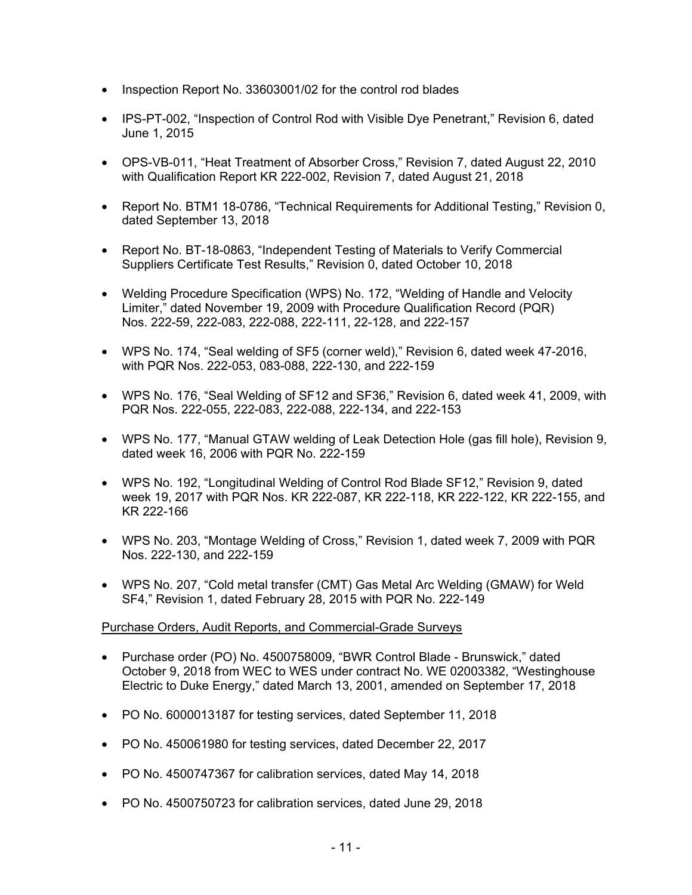- Inspection Report No. 33603001/02 for the control rod blades
- IPS-PT-002, "Inspection of Control Rod with Visible Dye Penetrant," Revision 6, dated June 1, 2015
- OPS-VB-011, "Heat Treatment of Absorber Cross," Revision 7, dated August 22, 2010 with Qualification Report KR 222-002, Revision 7, dated August 21, 2018
- Report No. BTM1 18-0786, "Technical Requirements for Additional Testing," Revision 0, dated September 13, 2018
- Report No. BT-18-0863, "Independent Testing of Materials to Verify Commercial Suppliers Certificate Test Results," Revision 0, dated October 10, 2018
- Welding Procedure Specification (WPS) No. 172, "Welding of Handle and Velocity Limiter," dated November 19, 2009 with Procedure Qualification Record (PQR) Nos. 222-59, 222-083, 222-088, 222-111, 22-128, and 222-157
- WPS No. 174, "Seal welding of SF5 (corner weld)," Revision 6, dated week 47-2016, with PQR Nos. 222-053, 083-088, 222-130, and 222-159
- WPS No. 176, "Seal Welding of SF12 and SF36," Revision 6, dated week 41, 2009, with PQR Nos. 222-055, 222-083, 222-088, 222-134, and 222-153
- WPS No. 177, "Manual GTAW welding of Leak Detection Hole (gas fill hole), Revision 9, dated week 16, 2006 with PQR No. 222-159
- WPS No. 192, "Longitudinal Welding of Control Rod Blade SF12," Revision 9, dated week 19, 2017 with PQR Nos. KR 222-087, KR 222-118, KR 222-122, KR 222-155, and KR 222-166
- WPS No. 203, "Montage Welding of Cross," Revision 1, dated week 7, 2009 with PQR Nos. 222-130, and 222-159
- WPS No. 207, "Cold metal transfer (CMT) Gas Metal Arc Welding (GMAW) for Weld SF4," Revision 1, dated February 28, 2015 with PQR No. 222-149

# Purchase Orders, Audit Reports, and Commercial-Grade Surveys

- Purchase order (PO) No. 4500758009, "BWR Control Blade Brunswick," dated October 9, 2018 from WEC to WES under contract No. WE 02003382, "Westinghouse Electric to Duke Energy," dated March 13, 2001, amended on September 17, 2018
- PO No. 6000013187 for testing services, dated September 11, 2018
- PO No. 450061980 for testing services, dated December 22, 2017
- PO No. 4500747367 for calibration services, dated May 14, 2018
- PO No. 4500750723 for calibration services, dated June 29, 2018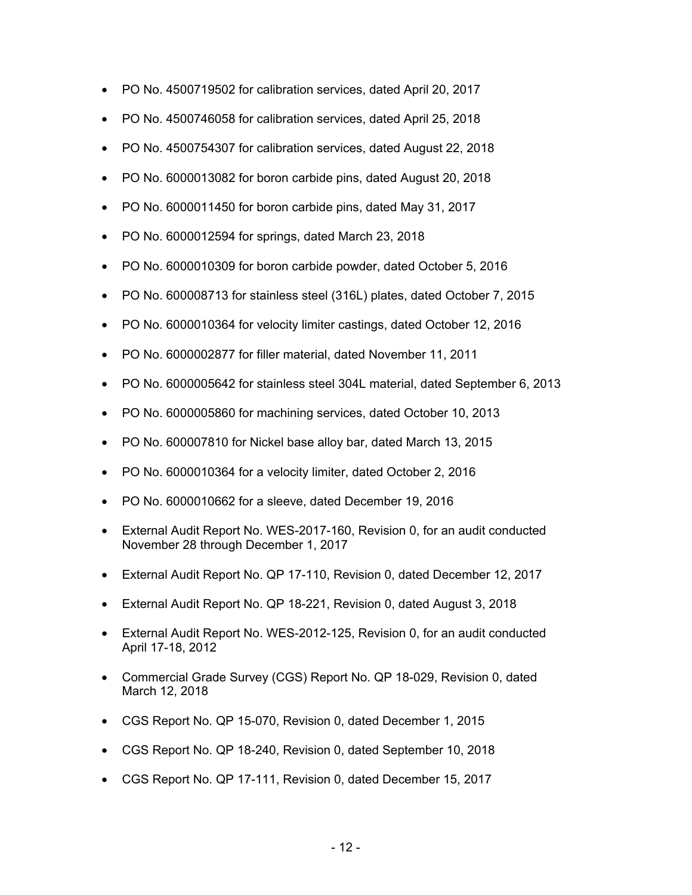- PO No. 4500719502 for calibration services, dated April 20, 2017
- PO No. 4500746058 for calibration services, dated April 25, 2018
- PO No. 4500754307 for calibration services, dated August 22, 2018
- PO No. 6000013082 for boron carbide pins, dated August 20, 2018
- PO No. 6000011450 for boron carbide pins, dated May 31, 2017
- PO No. 6000012594 for springs, dated March 23, 2018
- PO No. 6000010309 for boron carbide powder, dated October 5, 2016
- PO No. 600008713 for stainless steel (316L) plates, dated October 7, 2015
- PO No. 6000010364 for velocity limiter castings, dated October 12, 2016
- PO No. 6000002877 for filler material, dated November 11, 2011
- PO No. 6000005642 for stainless steel 304L material, dated September 6, 2013
- PO No. 6000005860 for machining services, dated October 10, 2013
- PO No. 600007810 for Nickel base alloy bar, dated March 13, 2015
- PO No. 6000010364 for a velocity limiter, dated October 2, 2016
- PO No. 6000010662 for a sleeve, dated December 19, 2016
- External Audit Report No. WES-2017-160, Revision 0, for an audit conducted November 28 through December 1, 2017
- External Audit Report No. QP 17-110, Revision 0, dated December 12, 2017
- External Audit Report No. QP 18-221, Revision 0, dated August 3, 2018
- External Audit Report No. WES-2012-125, Revision 0, for an audit conducted April 17-18, 2012
- Commercial Grade Survey (CGS) Report No. QP 18-029, Revision 0, dated March 12, 2018
- CGS Report No. QP 15-070, Revision 0, dated December 1, 2015
- CGS Report No. QP 18-240, Revision 0, dated September 10, 2018
- CGS Report No. QP 17-111, Revision 0, dated December 15, 2017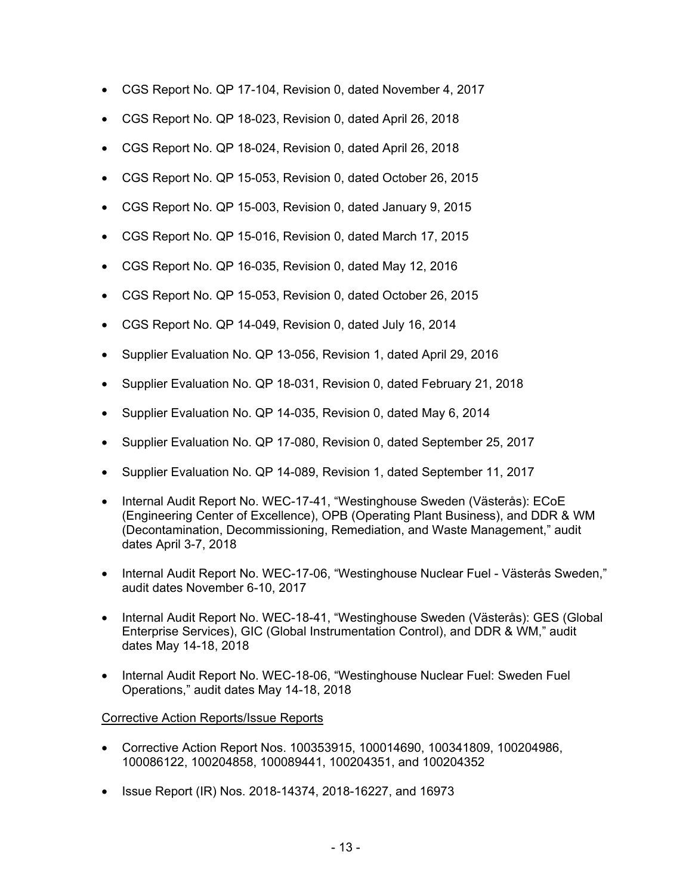- CGS Report No. QP 17-104, Revision 0, dated November 4, 2017
- CGS Report No. QP 18-023, Revision 0, dated April 26, 2018
- CGS Report No. QP 18-024, Revision 0, dated April 26, 2018
- CGS Report No. QP 15-053, Revision 0, dated October 26, 2015
- CGS Report No. QP 15-003, Revision 0, dated January 9, 2015
- CGS Report No. QP 15-016, Revision 0, dated March 17, 2015
- CGS Report No. QP 16-035, Revision 0, dated May 12, 2016
- CGS Report No. QP 15-053, Revision 0, dated October 26, 2015
- CGS Report No. QP 14-049, Revision 0, dated July 16, 2014
- Supplier Evaluation No. QP 13-056, Revision 1, dated April 29, 2016
- Supplier Evaluation No. QP 18-031, Revision 0, dated February 21, 2018
- Supplier Evaluation No. QP 14-035, Revision 0, dated May 6, 2014
- Supplier Evaluation No. QP 17-080, Revision 0, dated September 25, 2017
- Supplier Evaluation No. QP 14-089, Revision 1, dated September 11, 2017
- Internal Audit Report No. WEC-17-41, "Westinghouse Sweden (Västerås): ECoE (Engineering Center of Excellence), OPB (Operating Plant Business), and DDR & WM (Decontamination, Decommissioning, Remediation, and Waste Management," audit dates April 3-7, 2018
- Internal Audit Report No. WEC-17-06, "Westinghouse Nuclear Fuel Västerås Sweden," audit dates November 6-10, 2017
- Internal Audit Report No. WEC-18-41, "Westinghouse Sweden (Västerås): GES (Global Enterprise Services), GIC (Global Instrumentation Control), and DDR & WM," audit dates May 14-18, 2018
- Internal Audit Report No. WEC-18-06, "Westinghouse Nuclear Fuel: Sweden Fuel Operations," audit dates May 14-18, 2018

# Corrective Action Reports/Issue Reports

- Corrective Action Report Nos. 100353915, 100014690, 100341809, 100204986, 100086122, 100204858, 100089441, 100204351, and 100204352
- Issue Report (IR) Nos. 2018-14374, 2018-16227, and 16973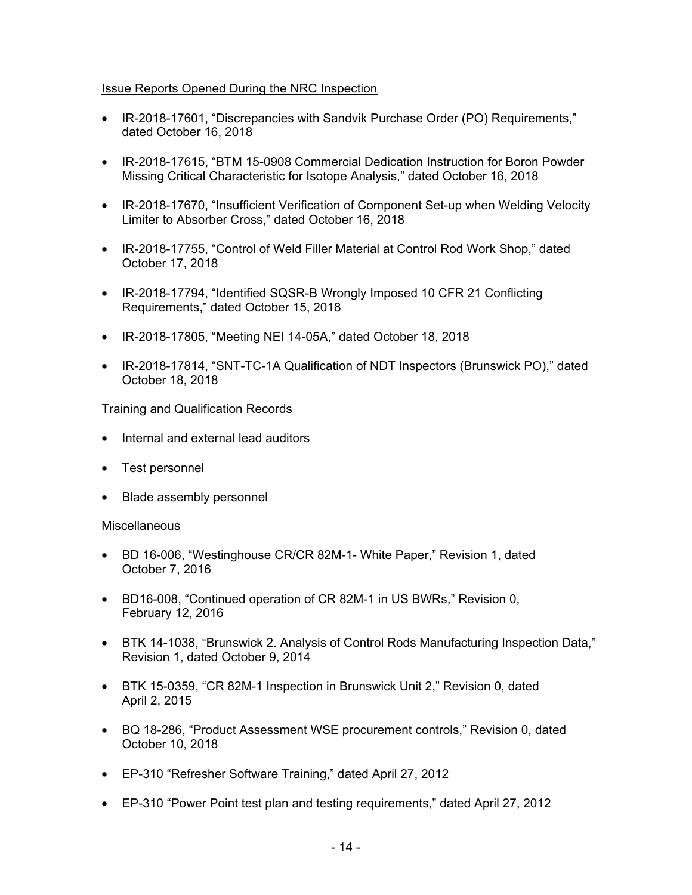# Issue Reports Opened During the NRC Inspection

- IR-2018-17601, "Discrepancies with Sandvik Purchase Order (PO) Requirements," dated October 16, 2018
- IR-2018-17615, "BTM 15-0908 Commercial Dedication Instruction for Boron Powder Missing Critical Characteristic for Isotope Analysis," dated October 16, 2018
- IR-2018-17670, "Insufficient Verification of Component Set-up when Welding Velocity Limiter to Absorber Cross," dated October 16, 2018
- IR-2018-17755, "Control of Weld Filler Material at Control Rod Work Shop," dated October 17, 2018
- IR-2018-17794, "Identified SQSR-B Wrongly Imposed 10 CFR 21 Conflicting Requirements," dated October 15, 2018
- IR-2018-17805, "Meeting NEI 14-05A," dated October 18, 2018
- IR-2018-17814, "SNT-TC-1A Qualification of NDT Inspectors (Brunswick PO)," dated October 18, 2018

# Training and Qualification Records

- Internal and external lead auditors
- Test personnel
- Blade assembly personnel

#### **Miscellaneous**

- BD 16-006, "Westinghouse CR/CR 82M-1- White Paper," Revision 1, dated October 7, 2016
- BD16-008, "Continued operation of CR 82M-1 in US BWRs," Revision 0, February 12, 2016
- BTK 14-1038, "Brunswick 2. Analysis of Control Rods Manufacturing Inspection Data," Revision 1, dated October 9, 2014
- BTK 15-0359, "CR 82M-1 Inspection in Brunswick Unit 2," Revision 0, dated April 2, 2015
- BQ 18-286, "Product Assessment WSE procurement controls," Revision 0, dated October 10, 2018
- EP-310 "Refresher Software Training," dated April 27, 2012
- EP-310 "Power Point test plan and testing requirements," dated April 27, 2012